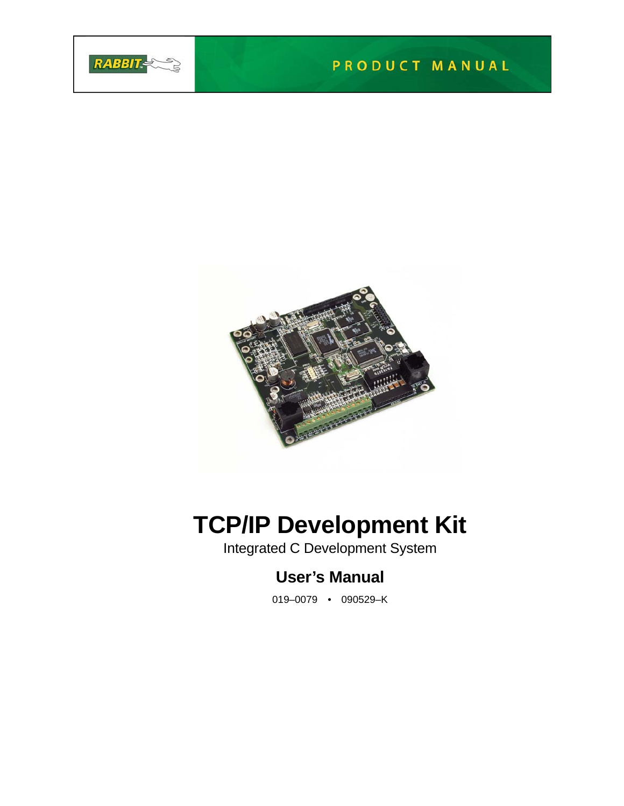



# **TCP/IP Development Kit**

Integrated C Development System

# **User's Manual**

019–0079 • 090529–K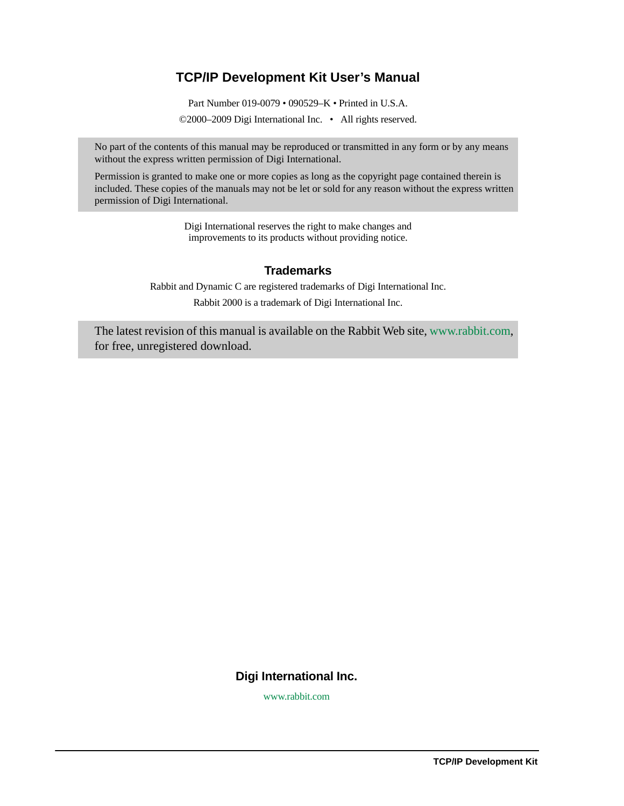## **TCP/IP Development Kit User's Manual**

Part Number 019-0079 • 090529–K • Printed in U.S.A.

©2000–2009 Digi International Inc. • All rights reserved.

No part of the contents of this manual may be reproduced or transmitted in any form or by any means without the express written permission of Digi International.

Permission is granted to make one or more copies as long as the copyright page contained therein is included. These copies of the manuals may not be let or sold for any reason without the express written permission of Digi International.

> Digi International reserves the right to make changes and improvements to its products without providing notice.

#### **Trademarks**

Rabbit and Dynamic C are registered trademarks of Digi International Inc. Rabbit 2000 is a trademark of Digi International Inc.

The latest revision of this manual is available on the Rabbit Web site, [www.rabbit.com,](http://www.rabbit.com/) for free, unregistered download.

#### **Digi International Inc.**

[w](http://www.rabbit.com/)ww.rabbit.com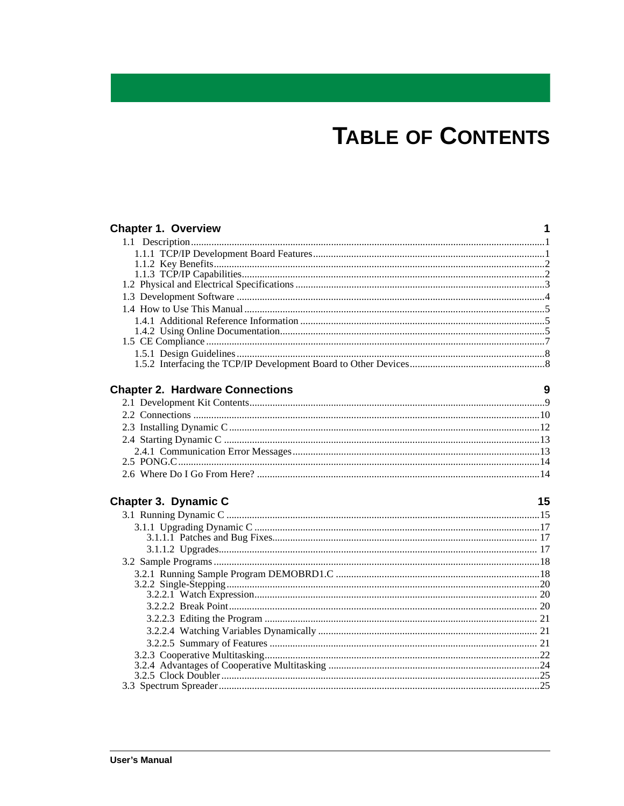# **TABLE OF CONTENTS**

| <b>Chapter 1. Overview</b>             | 1  |
|----------------------------------------|----|
|                                        |    |
|                                        |    |
|                                        |    |
|                                        |    |
|                                        |    |
|                                        |    |
|                                        |    |
|                                        |    |
|                                        |    |
|                                        |    |
|                                        |    |
|                                        |    |
| <b>Chapter 2. Hardware Connections</b> | 9  |
|                                        |    |
|                                        |    |
|                                        |    |
|                                        |    |
|                                        |    |
|                                        |    |
|                                        |    |
| Chapter 3. Dynamic C                   | 15 |
|                                        |    |
|                                        |    |
|                                        |    |
|                                        |    |
|                                        |    |
|                                        |    |
|                                        |    |
|                                        |    |
|                                        |    |
|                                        |    |
|                                        |    |
|                                        |    |
|                                        |    |
|                                        |    |
|                                        |    |
|                                        |    |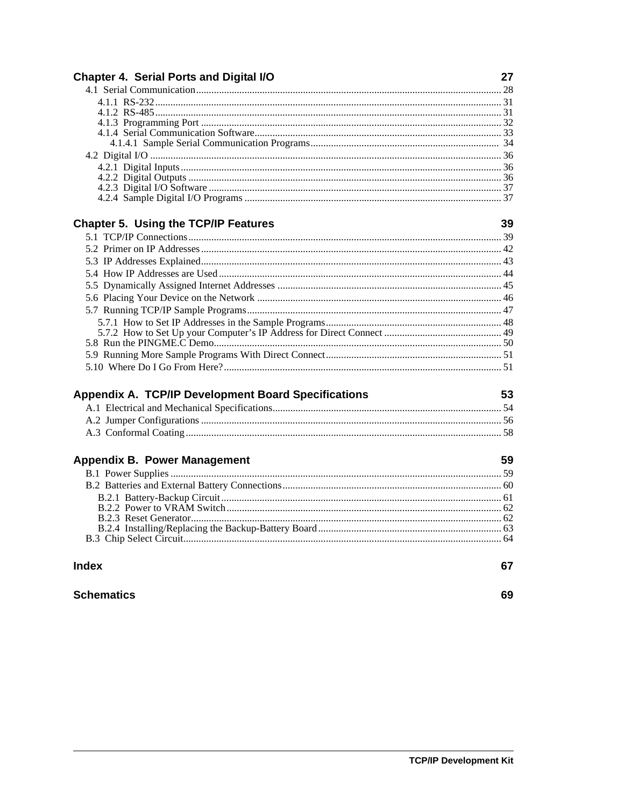| <b>Chapter 4. Serial Ports and Digital I/O</b>             | 27 |
|------------------------------------------------------------|----|
|                                                            |    |
|                                                            |    |
|                                                            |    |
|                                                            |    |
|                                                            |    |
|                                                            |    |
|                                                            |    |
|                                                            |    |
|                                                            |    |
|                                                            |    |
| <b>Chapter 5. Using the TCP/IP Features</b>                | 39 |
|                                                            |    |
|                                                            |    |
|                                                            |    |
|                                                            |    |
|                                                            |    |
|                                                            |    |
|                                                            |    |
|                                                            |    |
|                                                            |    |
|                                                            |    |
|                                                            |    |
|                                                            |    |
| <b>Appendix A. TCP/IP Development Board Specifications</b> | 53 |
|                                                            |    |
|                                                            |    |
|                                                            |    |
|                                                            |    |
| <b>Appendix B. Power Management</b>                        | 59 |
|                                                            |    |
|                                                            |    |
|                                                            |    |
|                                                            |    |
|                                                            |    |
|                                                            |    |
| <b>Index</b>                                               | 67 |
| <b>Schematics</b>                                          | 69 |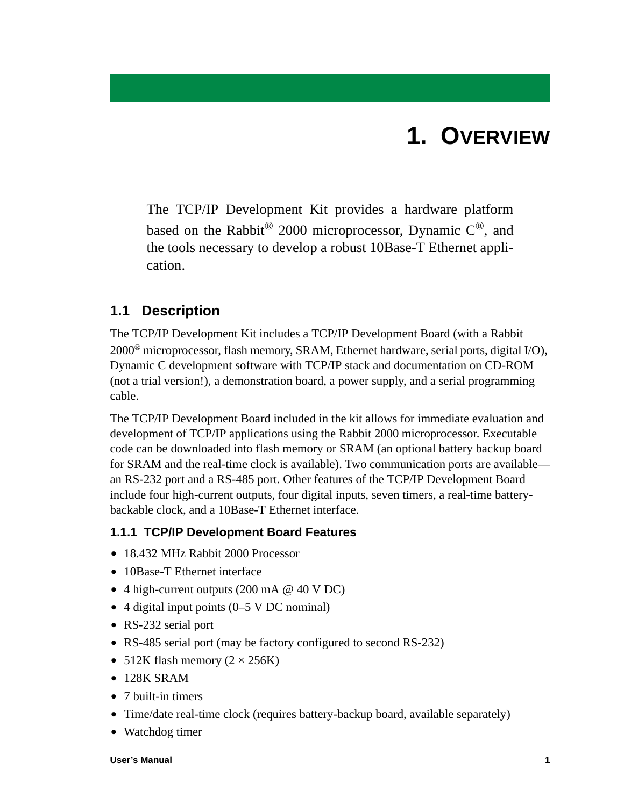# **1. OVERVIEW**

<span id="page-4-0"></span>The TCP/IP Development Kit provides a hardware platform based on the Rabbit<sup>®</sup> 2000 microprocessor, Dynamic  $C^{®}$ , and the tools necessary to develop a robust 10Base-T Ethernet application.

## <span id="page-4-1"></span>**1.1 Description**

The TCP/IP Development Kit includes a TCP/IP Development Board (with a Rabbit 2000® microprocessor, flash memory, SRAM, Ethernet hardware, serial ports, digital I/O), Dynamic C development software with TCP/IP stack and documentation on CD-ROM (not a trial version!), a demonstration board, a power supply, and a serial programming cable.

The TCP/IP Development Board included in the kit allows for immediate evaluation and development of TCP/IP applications using the Rabbit 2000 microprocessor. Executable code can be downloaded into flash memory or SRAM (an optional battery backup board for SRAM and the real-time clock is available). Two communication ports are available an RS-232 port and a RS-485 port. Other features of the TCP/IP Development Board include four high-current outputs, four digital inputs, seven timers, a real-time batterybackable clock, and a 10Base-T Ethernet interface.

### <span id="page-4-2"></span>**1.1.1 TCP/IP Development Board Features**

- **•** 18.432 MHz Rabbit 2000 Processor
- **•** 10Base-T Ethernet interface
- **•** 4 high-current outputs (200 mA @ 40 V DC)
- **•** 4 digital input points (0–5 V DC nominal)
- **•** RS-232 serial port
- RS-485 serial port (may be factory configured to second RS-232)
- 512K flash memory  $(2 \times 256K)$
- **•** 128K SRAM
- **•** 7 built-in timers
- **•** Time/date real-time clock (requires battery-backup board, available separately)
- **•** Watchdog timer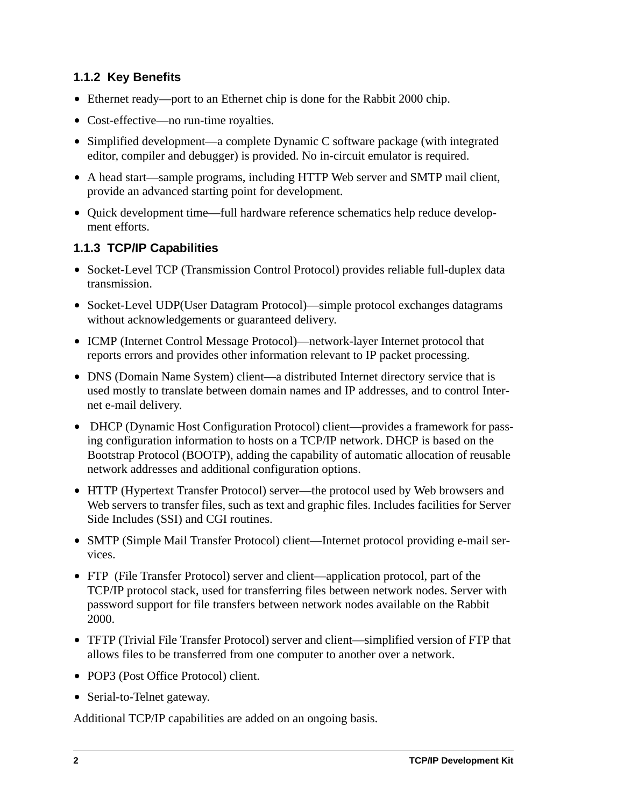## <span id="page-5-0"></span>**1.1.2 Key Benefits**

- Ethernet ready—port to an Ethernet chip is done for the Rabbit 2000 chip.
- **•** Cost-effective—no run-time royalties.
- Simplified development—a complete Dynamic C software package (with integrated editor, compiler and debugger) is provided. No in-circuit emulator is required.
- **•** A head start—sample programs, including HTTP Web server and SMTP mail client, provide an advanced starting point for development.
- **•** Quick development time—full hardware reference schematics help reduce development efforts.

## <span id="page-5-1"></span>**1.1.3 TCP/IP Capabilities**

- Socket-Level TCP (Transmission Control Protocol) provides reliable full-duplex data transmission.
- **•** Socket-Level UDP(User Datagram Protocol)—simple protocol exchanges datagrams without acknowledgements or guaranteed delivery.
- **•** ICMP (Internet Control Message Protocol)—network-layer Internet protocol that reports errors and provides other information relevant to IP packet processing.
- DNS (Domain Name System) client—a distributed Internet directory service that is used mostly to translate between domain names and IP addresses, and to control Internet e-mail delivery.
- **•** DHCP (Dynamic Host Configuration Protocol) client—provides a framework for passing configuration information to hosts on a TCP/IP network. DHCP is based on the Bootstrap Protocol (BOOTP), adding the capability of automatic allocation of reusable network addresses and additional configuration options.
- **•** HTTP (Hypertext Transfer Protocol) server—the protocol used by Web browsers and Web servers to transfer files, such as text and graphic files. Includes facilities for Server Side Includes (SSI) and CGI routines.
- **•** SMTP (Simple Mail Transfer Protocol) client—Internet protocol providing e-mail services.
- **•** FTP (File Transfer Protocol) server and client—application protocol, part of the TCP/IP protocol stack, used for transferring files between network nodes. Server with password support for file transfers between network nodes available on the Rabbit 2000.
- **•** TFTP (Trivial File Transfer Protocol) server and client—simplified version of FTP that allows files to be transferred from one computer to another over a network.
- **•** POP3 (Post Office Protocol) client.
- Serial-to-Telnet gateway.

Additional TCP/IP capabilities are added on an ongoing basis.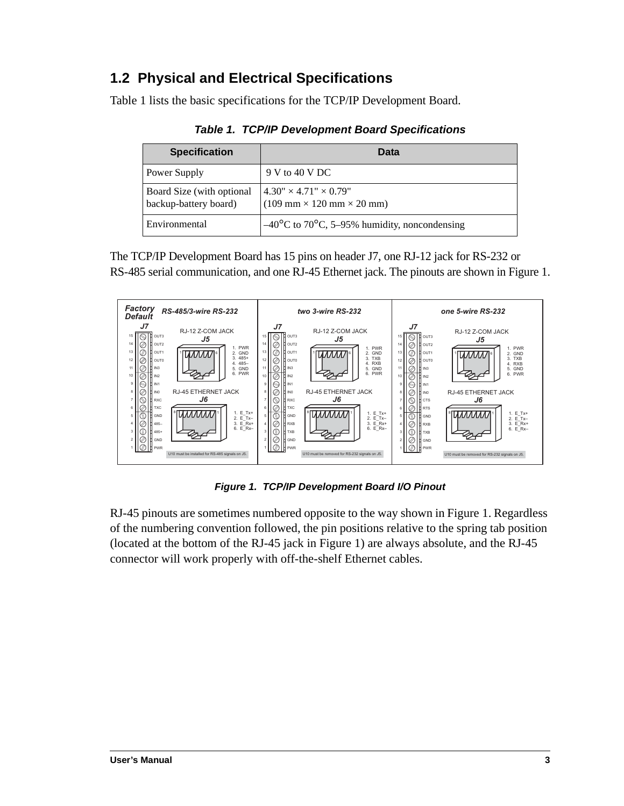# <span id="page-6-0"></span>**1.2 Physical and Electrical Specifications**

<span id="page-6-2"></span>[Table 1](#page-6-2) lists the basic specifications for the TCP/IP Development Board.

| <b>Specification</b>                               | Data                                                                                                  |
|----------------------------------------------------|-------------------------------------------------------------------------------------------------------|
| Power Supply                                       | 9 V to 40 V DC                                                                                        |
| Board Size (with optional<br>backup-battery board) | $4.30'' \times 4.71'' \times 0.79''$<br>$(109 \text{ mm} \times 120 \text{ mm} \times 20 \text{ mm})$ |
| Environmental                                      | $-40^{\circ}$ C to 70 <sup>o</sup> C, 5–95% humidity, noncondensing                                   |

*Table 1. TCP/IP Development Board Specifications*

The TCP/IP Development Board has 15 pins on header J7, one RJ-12 jack for RS-232 or RS-485 serial communication, and one RJ-45 Ethernet jack. The pinouts are shown in [Figure 1](#page-6-1).



*Figure 1. TCP/IP Development Board I/O Pinout*

<span id="page-6-1"></span>RJ-45 pinouts are sometimes numbered opposite to the way shown in [Figure 1](#page-6-1). Regardless of the numbering convention followed, the pin positions relative to the spring tab position (located at the bottom of the RJ-45 jack in [Figure 1\)](#page-6-1) are always absolute, and the RJ-45 connector will work properly with off-the-shelf Ethernet cables.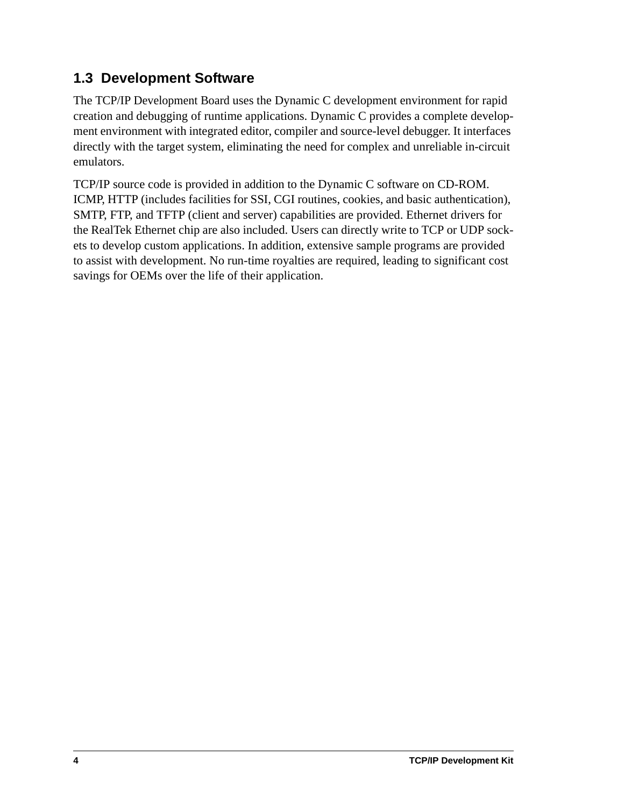# <span id="page-7-0"></span>**1.3 Development Software**

The TCP/IP Development Board uses the Dynamic C development environment for rapid creation and debugging of runtime applications. Dynamic C provides a complete development environment with integrated editor, compiler and source-level debugger. It interfaces directly with the target system, eliminating the need for complex and unreliable in-circuit emulators.

TCP/IP source code is provided in addition to the Dynamic C software on CD-ROM. ICMP, HTTP (includes facilities for SSI, CGI routines, cookies, and basic authentication), SMTP, FTP, and TFTP (client and server) capabilities are provided. Ethernet drivers for the RealTek Ethernet chip are also included. Users can directly write to TCP or UDP sockets to develop custom applications. In addition, extensive sample programs are provided to assist with development. No run-time royalties are required, leading to significant cost savings for OEMs over the life of their application.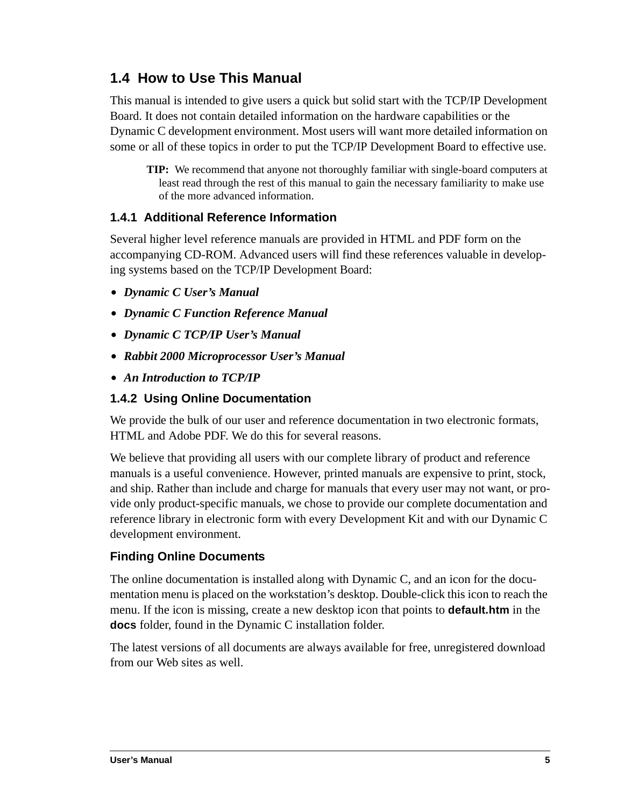# <span id="page-8-0"></span>**1.4 How to Use This Manual**

This manual is intended to give users a quick but solid start with the TCP/IP Development Board. It does not contain detailed information on the hardware capabilities or the Dynamic C development environment. Most users will want more detailed information on some or all of these topics in order to put the TCP/IP Development Board to effective use.

**TIP:** We recommend that anyone not thoroughly familiar with single-board computers at least read through the rest of this manual to gain the necessary familiarity to make use of the more advanced information.

## <span id="page-8-1"></span>**1.4.1 Additional Reference Information**

Several higher level reference manuals are provided in HTML and PDF form on the accompanying CD-ROM. Advanced users will find these references valuable in developing systems based on the TCP/IP Development Board:

- **•** *Dynamic C User's Manual*
- **•** *Dynamic C Function Reference Manual*
- **•** *Dynamic C TCP/IP User's Manual*
- **•** *Rabbit 2000 Microprocessor User's Manual*
- **•** *An Introduction to TCP/IP*

#### <span id="page-8-2"></span>**1.4.2 Using Online Documentation**

We provide the bulk of our user and reference documentation in two electronic formats, HTML and Adobe PDF. We do this for several reasons.

We believe that providing all users with our complete library of product and reference manuals is a useful convenience. However, printed manuals are expensive to print, stock, and ship. Rather than include and charge for manuals that every user may not want, or provide only product-specific manuals, we chose to provide our complete documentation and reference library in electronic form with every Development Kit and with our Dynamic C development environment.

### **Finding Online Documents**

The online documentation is installed along with Dynamic C, and an icon for the documentation menu is placed on the workstation's desktop. Double-click this icon to reach the menu. If the icon is missing, create a new desktop icon that points to **default.htm** in the **docs** folder, found in the Dynamic C installation folder.

The latest versions of all documents are always available for free, unregistered download from our Web sites as well.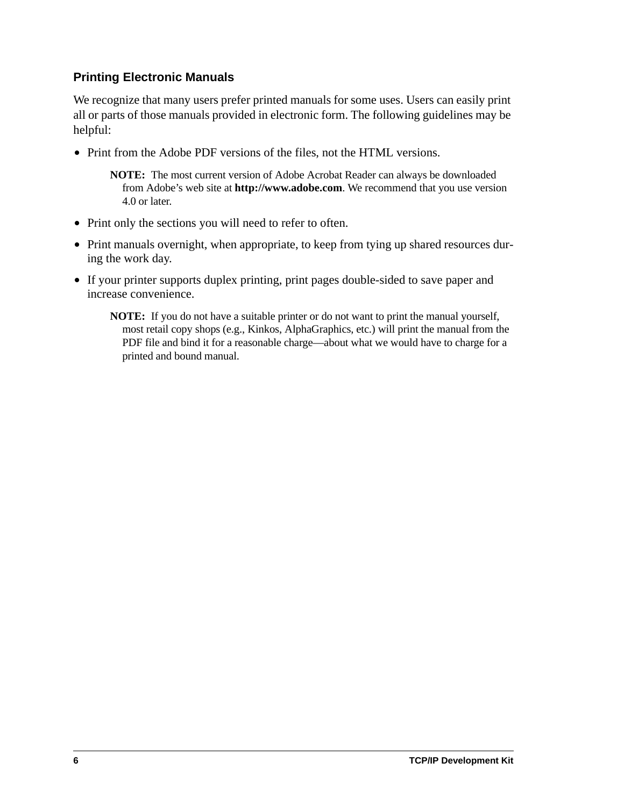### **Printing Electronic Manuals**

We recognize that many users prefer printed manuals for some uses. Users can easily print all or parts of those manuals provided in electronic form. The following guidelines may be helpful:

• Print from the Adobe PDF versions of the files, not the HTML versions.

**NOTE:** The most current version of Adobe Acrobat Reader can always be downloaded from Adobe's web site at **http://www.adobe.com**. We recommend that you use version 4.0 or later.

- Print only the sections you will need to refer to often.
- Print manuals overnight, when appropriate, to keep from tying up shared resources during the work day.
- **•** If your printer supports duplex printing, print pages double-sided to save paper and increase convenience.

**NOTE:** If you do not have a suitable printer or do not want to print the manual yourself, most retail copy shops (e.g., Kinkos, AlphaGraphics, etc.) will print the manual from the PDF file and bind it for a reasonable charge—about what we would have to charge for a printed and bound manual.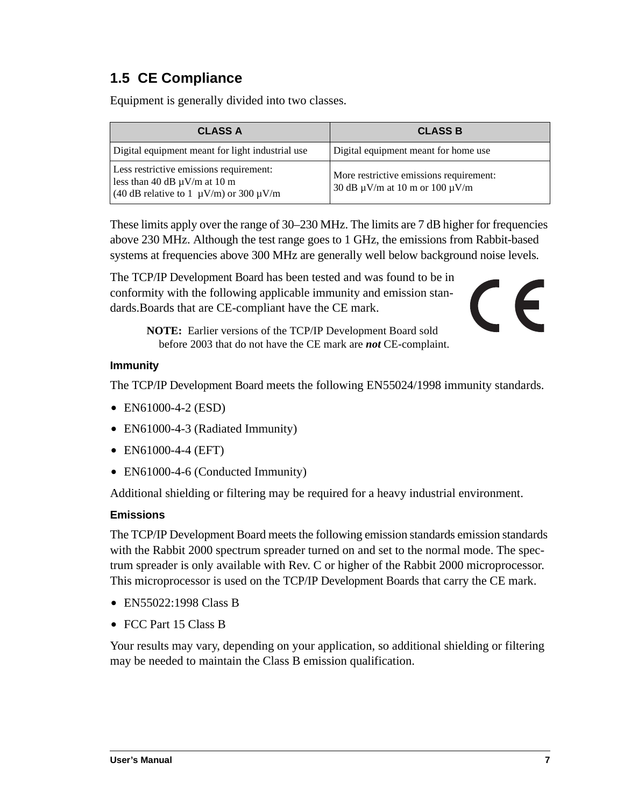# <span id="page-10-0"></span>**1.5 CE Compliance**

Equipment is generally divided into two classes.

| <b>CLASS A</b>                                                                                                                   | <b>CLASS B</b>                                                                      |
|----------------------------------------------------------------------------------------------------------------------------------|-------------------------------------------------------------------------------------|
| Digital equipment meant for light industrial use                                                                                 | Digital equipment meant for home use                                                |
| Less restrictive emissions requirement:<br>less than 40 dB $\mu$ V/m at 10 m<br>(40 dB relative to 1 $\mu$ V/m) or 300 $\mu$ V/m | More restrictive emissions requirement:<br>30 dB $\mu$ V/m at 10 m or 100 $\mu$ V/m |

These limits apply over the range of 30–230 MHz. The limits are 7 dB higher for frequencies above 230 MHz. Although the test range goes to 1 GHz, the emissions from Rabbit-based systems at frequencies above 300 MHz are generally well below background noise levels.

The TCP/IP Development Board has been tested and was found to be in conformity with the following applicable immunity and emission standards.Boards that are CE-compliant have the CE mark.



**NOTE:** Earlier versions of the TCP/IP Development Board sold before 2003 that do not have the CE mark are *not* CE-complaint.

#### **Immunity**

The TCP/IP Development Board meets the following EN55024/1998 immunity standards.

- **•** EN61000-4-2 (ESD)
- EN61000-4-3 (Radiated Immunity)
- **•** EN61000-4-4 (EFT)
- EN61000-4-6 (Conducted Immunity)

Additional shielding or filtering may be required for a heavy industrial environment.

#### **Emissions**

The TCP/IP Development Board meets the following emission standards emission standards with the Rabbit 2000 spectrum spreader turned on and set to the normal mode. The spectrum spreader is only available with Rev. C or higher of the Rabbit 2000 microprocessor. This microprocessor is used on the TCP/IP Development Boards that carry the CE mark.

- **•** EN55022:1998 Class B
- **•** FCC Part 15 Class B

Your results may vary, depending on your application, so additional shielding or filtering may be needed to maintain the Class B emission qualification.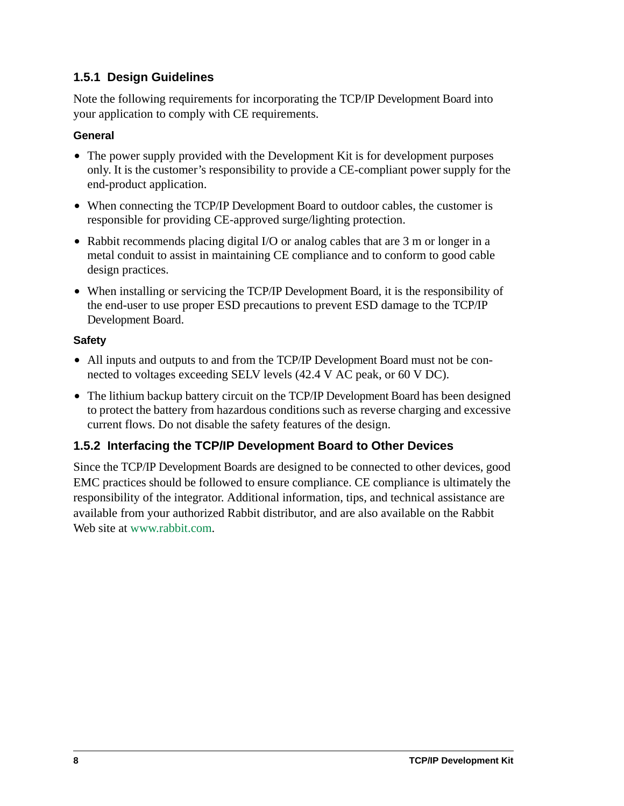## <span id="page-11-0"></span>**1.5.1 Design Guidelines**

Note the following requirements for incorporating the TCP/IP Development Board into your application to comply with CE requirements.

#### **General**

- The power supply provided with the Development Kit is for development purposes only. It is the customer's responsibility to provide a CE-compliant power supply for the end-product application.
- When connecting the TCP/IP Development Board to outdoor cables, the customer is responsible for providing CE-approved surge/lighting protection.
- Rabbit recommends placing digital I/O or analog cables that are 3 m or longer in a metal conduit to assist in maintaining CE compliance and to conform to good cable design practices.
- **•** When installing or servicing the TCP/IP Development Board, it is the responsibility of the end-user to use proper ESD precautions to prevent ESD damage to the TCP/IP Development Board.

### **Safety**

- **•** All inputs and outputs to and from the TCP/IP Development Board must not be connected to voltages exceeding SELV levels (42.4 V AC peak, or 60 V DC).
- **•** The lithium backup battery circuit on the TCP/IP Development Board has been designed to protect the battery from hazardous conditions such as reverse charging and excessive current flows. Do not disable the safety features of the design.

## <span id="page-11-1"></span>**1.5.2 Interfacing the TCP/IP Development Board to Other Devices**

Since the TCP/IP Development Boards are designed to be connected to other devices, good EMC practices should be followed to ensure compliance. CE compliance is ultimately the responsibility of the integrator. Additional information, tips, and technical assistance are available from your authorized Rabbit distributor, and are also available on the Rabbit Web site at [www.rabbit.com.](http://www.rabbit.com/products/ce_certification/index.shtml)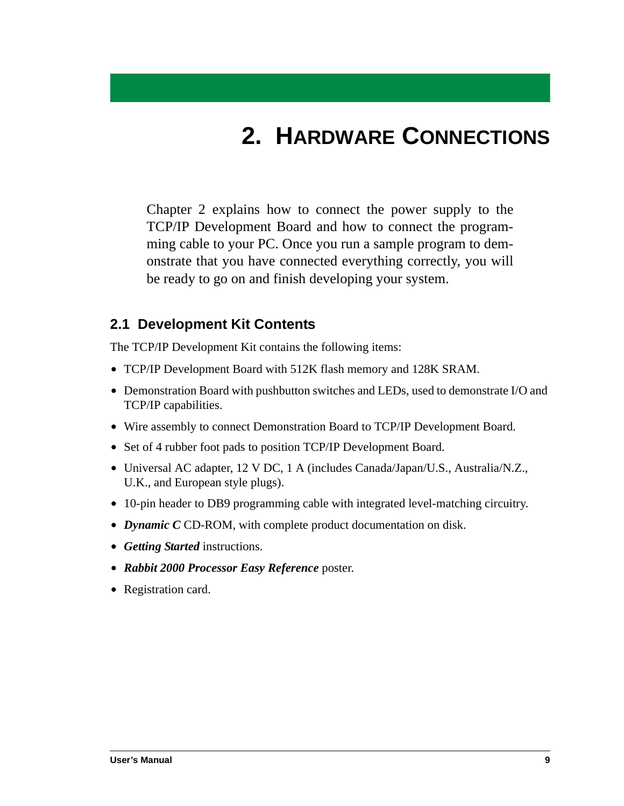# **2. HARDWARE CONNECTIONS**

<span id="page-12-0"></span>Chapter 2 explains how to connect the power supply to the TCP/IP Development Board and how to connect the programming cable to your PC. Once you run a sample program to demonstrate that you have connected everything correctly, you will be ready to go on and finish developing your system.

## <span id="page-12-1"></span>**2.1 Development Kit Contents**

The TCP/IP Development Kit contains the following items:

- **•** TCP/IP Development Board with 512K flash memory and 128K SRAM.
- **•** Demonstration Board with pushbutton switches and LEDs, used to demonstrate I/O and TCP/IP capabilities.
- **•** Wire assembly to connect Demonstration Board to TCP/IP Development Board.
- **•** Set of 4 rubber foot pads to position TCP/IP Development Board.
- **•** Universal AC adapter, 12 V DC, 1 A (includes Canada/Japan/U.S., Australia/N.Z., U.K., and European style plugs).
- **•** 10-pin header to DB9 programming cable with integrated level-matching circuitry.
- **•** *Dynamic C* CD-ROM, with complete product documentation on disk.
- **•** *Getting Started* instructions.
- **•** *Rabbit 2000 Processor Easy Reference* poster.
- **•** Registration card.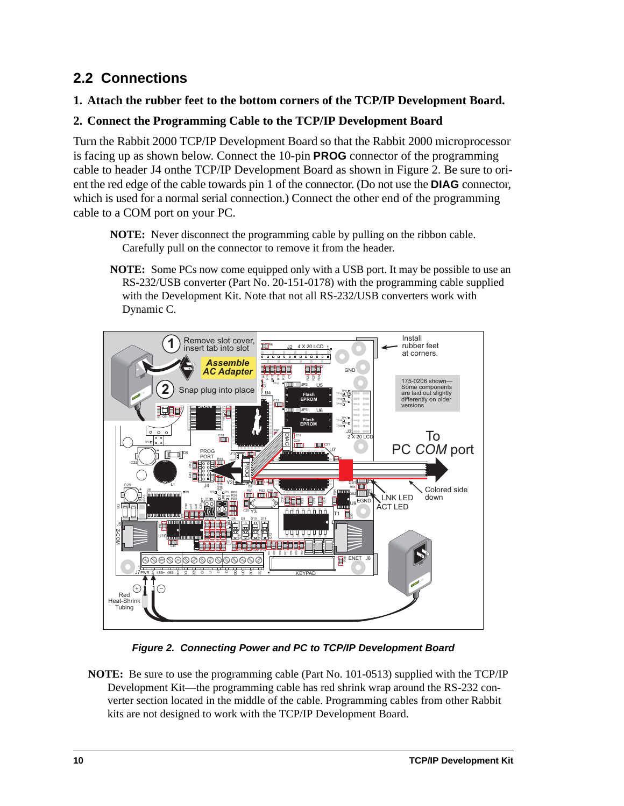# <span id="page-13-2"></span><span id="page-13-0"></span>**2.2 Connections**

#### **1. Attach the rubber feet to the bottom corners of the TCP/IP Development Board.**

### **2. Connect the Programming Cable to the TCP/IP Development Board**

Turn the Rabbit 2000 TCP/IP Development Board so that the Rabbit 2000 microprocessor is facing up as shown below. Connect the 10-pin **PROG** connector of the programming cable to header J4 onthe TCP/IP Development Board as shown in [Figure 2.](#page-13-1) Be sure to orient the red edge of the cable towards pin 1 of the connector. (Do not use the **DIAG** connector, which is used for a normal serial connection.) Connect the other end of the programming cable to a COM port on your PC.

- **NOTE:** Never disconnect the programming cable by pulling on the ribbon cable. Carefully pull on the connector to remove it from the header.
- **NOTE:** Some PCs now come equipped only with a USB port. It may be possible to use an RS-232/USB converter (Part No. 20-151-0178) with the programming cable supplied with the Development Kit. Note that not all RS-232/USB converters work with Dynamic C.



*Figure 2. Connecting Power and PC to TCP/IP Development Board*

<span id="page-13-1"></span>**NOTE:** Be sure to use the programming cable (Part No. 101-0513) supplied with the TCP/IP Development Kit—the programming cable has red shrink wrap around the RS-232 converter section located in the middle of the cable. Programming cables from other Rabbit kits are not designed to work with the TCP/IP Development Board.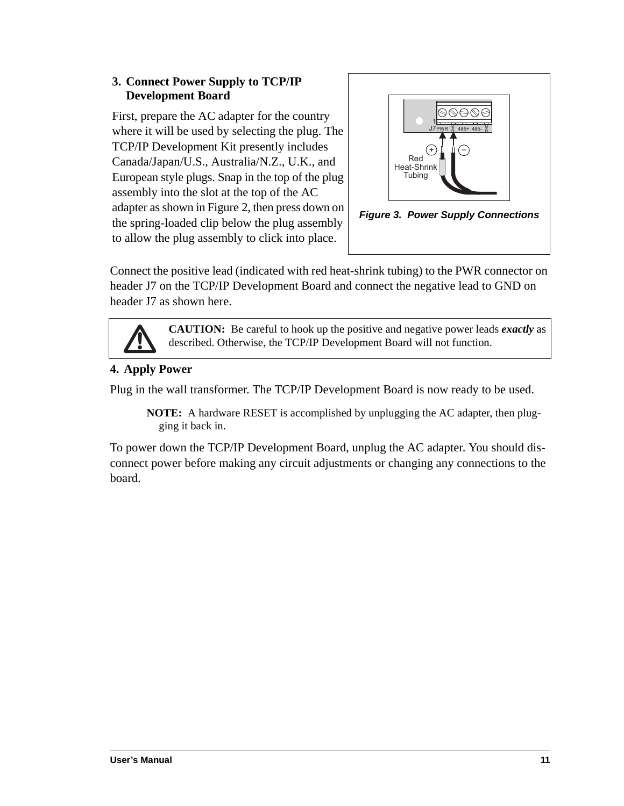#### **3. Connect Power Supply to TCP/IP Development Board**

First, prepare the AC adapter for the country where it will be used by selecting the plug. The TCP/IP Development Kit presently includes Canada/Japan/U.S., Australia/N.Z., U.K., and European style plugs. Snap in the top of the plug assembly into the slot at the top of the AC adapter as shown in [Figure 2](#page-13-1), then press down on the spring-loaded clip below the plug assembly to allow the plug assembly to click into place.



Connect the positive lead (indicated with red heat-shrink tubing) to the PWR connector on header J7 on the TCP/IP Development Board and connect the negative lead to GND on header J7 as shown here.



**CAUTION:** Be careful to hook up the positive and negative power leads *exactly* as described. Otherwise, the TCP/IP Development Board will not function.

## **4. Apply Power**

Plug in the wall transformer. The TCP/IP Development Board is now ready to be used.

**NOTE:** A hardware RESET is accomplished by unplugging the AC adapter, then plugging it back in.

To power down the TCP/IP Development Board, unplug the AC adapter. You should disconnect power before making any circuit adjustments or changing any connections to the board.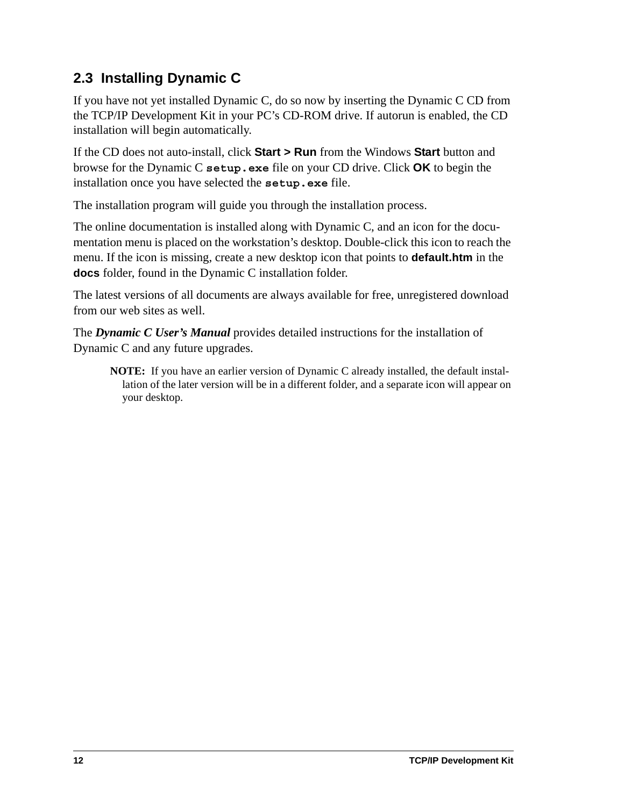# <span id="page-15-0"></span>**2.3 Installing Dynamic C**

If you have not yet installed Dynamic C, do so now by inserting the Dynamic C CD from the TCP/IP Development Kit in your PC's CD-ROM drive. If autorun is enabled, the CD installation will begin automatically.

If the CD does not auto-install, click **Start > Run** from the Windows **Start** button and browse for the Dynamic C **setup.exe** file on your CD drive. Click **OK** to begin the installation once you have selected the **setup.exe** file.

The installation program will guide you through the installation process.

The online documentation is installed along with Dynamic C, and an icon for the documentation menu is placed on the workstation's desktop. Double-click this icon to reach the menu. If the icon is missing, create a new desktop icon that points to **default.htm** in the **docs** folder, found in the Dynamic C installation folder.

The latest versions of all documents are always available for free, unregistered download from our web sites as well.

The *Dynamic C User's Manual* provides detailed instructions for the installation of Dynamic C and any future upgrades.

**NOTE:** If you have an earlier version of Dynamic C already installed, the default installation of the later version will be in a different folder, and a separate icon will appear on your desktop.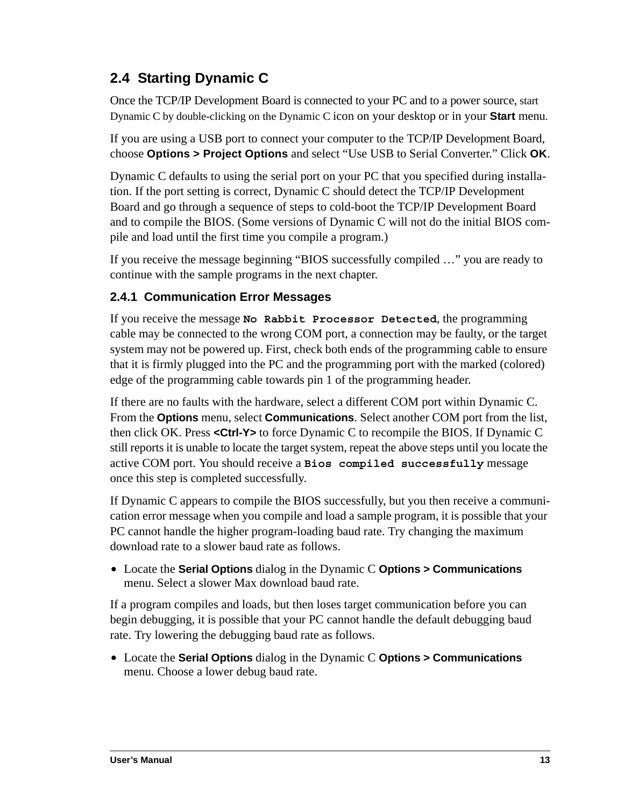# <span id="page-16-0"></span>**2.4 Starting Dynamic C**

Once the TCP/IP Development Board is connected to your PC and to a power source, start Dynamic C by double-clicking on the Dynamic C icon on your desktop or in your **Start** menu.

If you are using a USB port to connect your computer to the TCP/IP Development Board, choose **Options > Project Options** and select "Use USB to Serial Converter." Click **OK**.

Dynamic C defaults to using the serial port on your PC that you specified during installation. If the port setting is correct, Dynamic C should detect the TCP/IP Development Board and go through a sequence of steps to cold-boot the TCP/IP Development Board and to compile the BIOS. (Some versions of Dynamic C will not do the initial BIOS compile and load until the first time you compile a program.)

If you receive the message beginning "BIOS successfully compiled …" you are ready to continue with the sample programs in the next chapter.

## <span id="page-16-1"></span>**2.4.1 Communication Error Messages**

If you receive the message **No Rabbit Processor Detected**, the programming cable may be connected to the wrong COM port, a connection may be faulty, or the target system may not be powered up. First, check both ends of the programming cable to ensure that it is firmly plugged into the PC and the programming port with the marked (colored) edge of the programming cable towards pin 1 of the programming header.

If there are no faults with the hardware, select a different COM port within Dynamic C. From the **Options** menu, select **Communications**. Select another COM port from the list, then click OK. Press **<Ctrl-Y>** to force Dynamic C to recompile the BIOS. If Dynamic C still reports it is unable to locate the target system, repeat the above steps until you locate the active COM port. You should receive a **Bios compiled successfully** message once this step is completed successfully.

If Dynamic C appears to compile the BIOS successfully, but you then receive a communication error message when you compile and load a sample program, it is possible that your PC cannot handle the higher program-loading baud rate. Try changing the maximum download rate to a slower baud rate as follows.

**•** Locate the **Serial Options** dialog in the Dynamic C **Options > Communications** menu. Select a slower Max download baud rate.

If a program compiles and loads, but then loses target communication before you can begin debugging, it is possible that your PC cannot handle the default debugging baud rate. Try lowering the debugging baud rate as follows.

**•** Locate the **Serial Options** dialog in the Dynamic C **Options > Communications** menu. Choose a lower debug baud rate.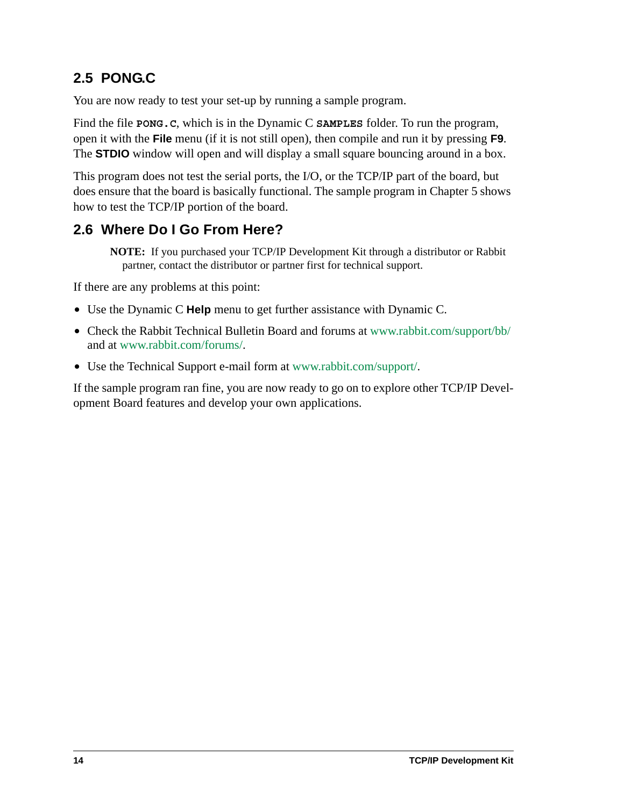# <span id="page-17-0"></span>**2.5 PONG.C**

You are now ready to test your set-up by running a sample program.

Find the file **PONG.C**, which is in the Dynamic C **SAMPLES** folder. To run the program, open it with the **File** menu (if it is not still open), then compile and run it by pressing **F9**. The **STDIO** window will open and will display a small square bouncing around in a box.

This program does not test the serial ports, the I/O, or the TCP/IP part of the board, but does ensure that the board is basically functional. The sample program in [Chapter 5](#page-42-2) shows how to test the TCP/IP portion of the board.

# <span id="page-17-1"></span>**2.6 Where Do I Go From Here?**

**NOTE:** If you purchased your TCP/IP Development Kit through a distributor or Rabbit partner, contact the distributor or partner first for technical support.

If there are any problems at this point:

- **•** Use the Dynamic C **Help** menu to get further assistance with Dynamic C.
- **•** Check the Rabbit Technical Bulletin Board and forums at [www.rabbit.com/support/bb/](http://www.rabbit.com/support/bb/index.html) and at [www.rabbit.com/forums/](http://www.rabbitsemiconductor.com/forums/).
- **•** Use the Technical Support e-mail form at [www.rabbit.com/support/.](http://www.rabbit.com/support/questionSubmit.shtml)

If the sample program ran fine, you are now ready to go on to explore other TCP/IP Development Board features and develop your own applications.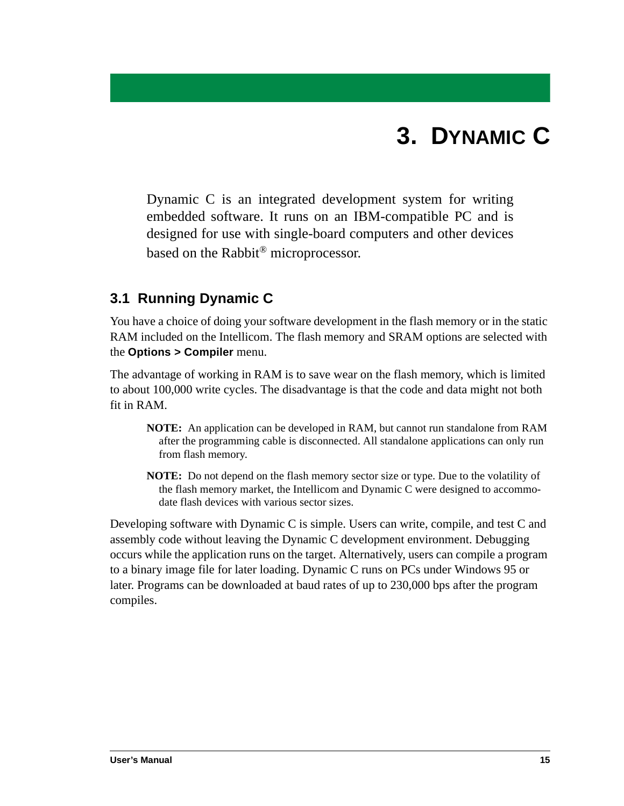# **3. DYNAMIC C**

<span id="page-18-0"></span>Dynamic C is an integrated development system for writing embedded software. It runs on an IBM-compatible PC and is designed for use with single-board computers and other devices based on the Rabbit® microprocessor.

## <span id="page-18-1"></span>**3.1 Running Dynamic C**

You have a choice of doing your software development in the flash memory or in the static RAM included on the Intellicom. The flash memory and SRAM options are selected with the **Options > Compiler** menu.

The advantage of working in RAM is to save wear on the flash memory, which is limited to about 100,000 write cycles. The disadvantage is that the code and data might not both fit in RAM.

- **NOTE:** An application can be developed in RAM, but cannot run standalone from RAM after the programming cable is disconnected. All standalone applications can only run from flash memory.
- **NOTE:** Do not depend on the flash memory sector size or type. Due to the volatility of the flash memory market, the Intellicom and Dynamic C were designed to accommodate flash devices with various sector sizes.

Developing software with Dynamic C is simple. Users can write, compile, and test C and assembly code without leaving the Dynamic C development environment. Debugging occurs while the application runs on the target. Alternatively, users can compile a program to a binary image file for later loading. Dynamic C runs on PCs under Windows 95 or later. Programs can be downloaded at baud rates of up to 230,000 bps after the program compiles.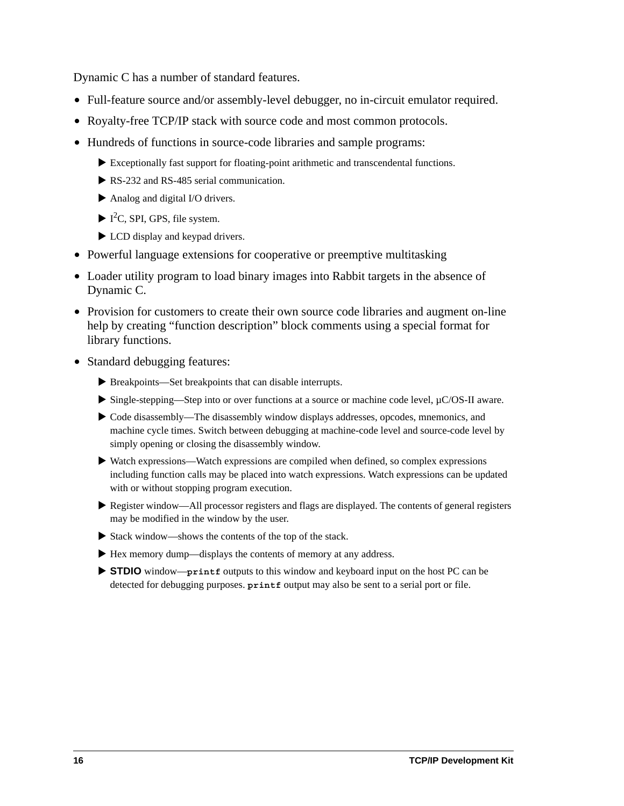Dynamic C has a number of standard features.

- **•** Full-feature source and/or assembly-level debugger, no in-circuit emulator required.
- **•** Royalty-free TCP/IP stack with source code and most common protocols.
- **•** Hundreds of functions in source-code libraries and sample programs:
	- $\blacktriangleright$  Exceptionally fast support for floating-point arithmetic and transcendental functions.
	- $\triangleright$  RS-232 and RS-485 serial communication.
	- $\blacktriangleright$  Analog and digital I/O drivers.
	- $\blacktriangleright$  I<sup>2</sup>C, SPI, GPS, file system.
	- $\blacktriangleright$  LCD display and keypad drivers.
- Powerful language extensions for cooperative or preemptive multitasking
- **•** Loader utility program to load binary images into Rabbit targets in the absence of Dynamic C.
- Provision for customers to create their own source code libraries and augment on-line help by creating "function description" block comments using a special format for library functions.
- **•** Standard debugging features:
	- $\blacktriangleright$  Breakpoints—Set breakpoints that can disable interrupts.
	- $\triangleright$  Single-stepping—Step into or over functions at a source or machine code level,  $\mu$ C/OS-II aware.
	- $\blacktriangleright$  Code disassembly—The disassembly window displays addresses, opcodes, mnemonics, and machine cycle times. Switch between debugging at machine-code level and source-code level by simply opening or closing the disassembly window.
	- $\blacktriangleright$  Watch expressions—Watch expressions are compiled when defined, so complex expressions including function calls may be placed into watch expressions. Watch expressions can be updated with or without stopping program execution.
	- $\blacktriangleright$  Register window—All processor registers and flags are displayed. The contents of general registers may be modified in the window by the user.
	- $\triangleright$  Stack window—shows the contents of the top of the stack.
	- $\blacktriangleright$  Hex memory dump—displays the contents of memory at any address.
	- ▶ **STDIO** window—**printf** outputs to this window and keyboard input on the host PC can be detected for debugging purposes. **printf** output may also be sent to a serial port or file.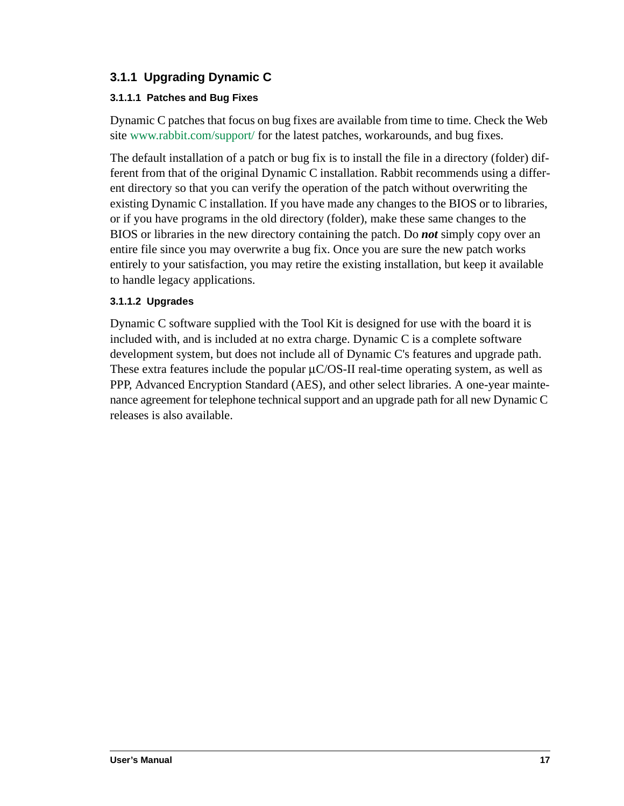## <span id="page-20-0"></span>**3.1.1 Upgrading Dynamic C**

#### <span id="page-20-1"></span>**3.1.1.1 Patches and Bug Fixes**

Dynamic C patches that focus on bug fixes are available from time to time. Check the Web site [www.rabbit.com/support/](http://www.rabbit.com/support/) for the latest patches, workarounds, and bug fixes.

The default installation of a patch or bug fix is to install the file in a directory (folder) different from that of the original Dynamic C installation. Rabbit recommends using a different directory so that you can verify the operation of the patch without overwriting the existing Dynamic C installation. If you have made any changes to the BIOS or to libraries, or if you have programs in the old directory (folder), make these same changes to the BIOS or libraries in the new directory containing the patch. Do *not* simply copy over an entire file since you may overwrite a bug fix. Once you are sure the new patch works entirely to your satisfaction, you may retire the existing installation, but keep it available to handle legacy applications.

#### <span id="page-20-2"></span>**3.1.1.2 Upgrades**

Dynamic C software supplied with the Tool Kit is designed for use with the board it is included with, and is included at no extra charge. Dynamic C is a complete software development system, but does not include all of Dynamic C's features and upgrade path. These extra features include the popular  $\mu$ C/OS-II real-time operating system, as well as PPP, Advanced Encryption Standard (AES), and other select libraries. A one-year maintenance agreement for telephone technical support and an upgrade path for all new Dynamic C releases is also available.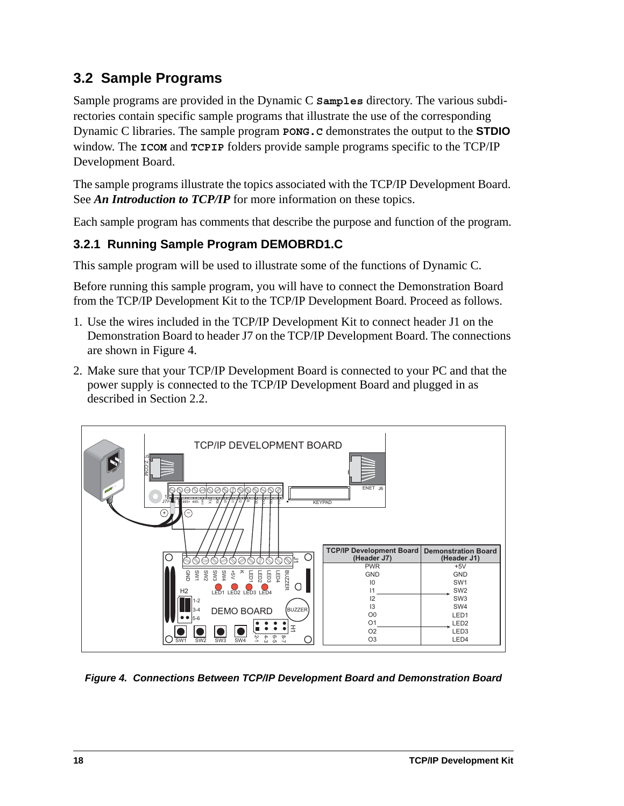# <span id="page-21-0"></span>**3.2 Sample Programs**

Sample programs are provided in the Dynamic C **Samples** directory. The various subdirectories contain specific sample programs that illustrate the use of the corresponding Dynamic C libraries. The sample program **PONG.C** demonstrates the output to the **STDIO** window. The **ICOM** and **TCPIP** folders provide sample programs specific to the TCP/IP Development Board.

The sample programs illustrate the topics associated with the TCP/IP Development Board. See *An Introduction to TCP/IP* for more information on these topics.

Each sample program has comments that describe the purpose and function of the program.

## <span id="page-21-1"></span>**3.2.1 Running Sample Program DEMOBRD1.C**

This sample program will be used to illustrate some of the functions of Dynamic C.

Before running this sample program, you will have to connect the Demonstration Board from the TCP/IP Development Kit to the TCP/IP Development Board. Proceed as follows.

- 1. Use the wires included in the TCP/IP Development Kit to connect header J1 on the Demonstration Board to header J7 on the TCP/IP Development Board. The connections are shown in [Figure 4](#page-21-2).
- 2. Make sure that your TCP/IP Development Board is connected to your PC and that the power supply is connected to the TCP/IP Development Board and plugged in as described in [Section 2.2](#page-13-2).



<span id="page-21-2"></span>*Figure 4. Connections Between TCP/IP Development Board and Demonstration Board*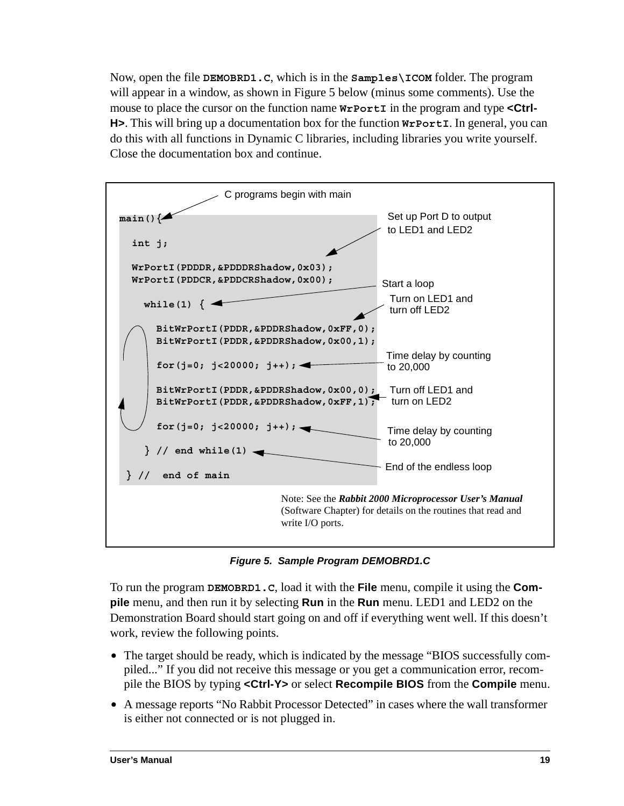Now, open the file **DEMOBRD1.C**, which is in the **Samples\ICOM** folder. The program will appear in a window, as shown in [Figure 5](#page-22-0) below (minus some comments). Use the mouse to place the cursor on the function name  $w$ **rPortI** in the program and type <Ctrl-**H>**. This will bring up a documentation box for the function **WrPortI**. In general, you can do this with all functions in Dynamic C libraries, including libraries you write yourself. Close the documentation box and continue.



*Figure 5. Sample Program DEMOBRD1.C*

<span id="page-22-0"></span>To run the program **DEMOBRD1.C**, load it with the **File** menu, compile it using the **Compile** menu, and then run it by selecting **Run** in the **Run** menu. LED1 and LED2 on the Demonstration Board should start going on and off if everything went well. If this doesn't work, review the following points.

- The target should be ready, which is indicated by the message "BIOS successfully compiled..." If you did not receive this message or you get a communication error, recompile the BIOS by typing **<Ctrl-Y>** or select **Recompile BIOS** from the **Compile** menu.
- **•** A message reports "No Rabbit Processor Detected" in cases where the wall transformer is either not connected or is not plugged in.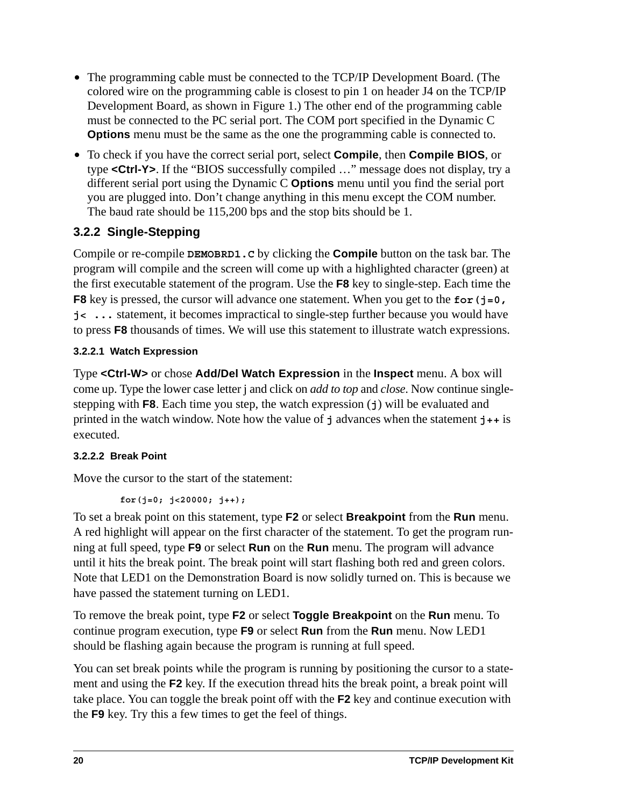- **•** The programming cable must be connected to the TCP/IP Development Board. (The colored wire on the programming cable is closest to pin 1 on header J4 on the TCP/IP Development Board, as shown in Figure 1.) The other end of the programming cable must be connected to the PC serial port. The COM port specified in the Dynamic C **Options** menu must be the same as the one the programming cable is connected to.
- **•** To check if you have the correct serial port, select **Compile**, then **Compile BIOS**, or type **<Ctrl-Y>**. If the "BIOS successfully compiled …" message does not display, try a different serial port using the Dynamic C **Options** menu until you find the serial port you are plugged into. Don't change anything in this menu except the COM number. The baud rate should be 115,200 bps and the stop bits should be 1.

## <span id="page-23-0"></span>**3.2.2 Single-Stepping**

Compile or re-compile **DEMOBRD1.C** by clicking the **Compile** button on the task bar. The program will compile and the screen will come up with a highlighted character (green) at the first executable statement of the program. Use the **F8** key to single-step. Each time the **F8** key is pressed, the cursor will advance one statement. When you get to the **for(j=0, j< ...** statement, it becomes impractical to single-step further because you would have to press **F8** thousands of times. We will use this statement to illustrate watch expressions.

#### <span id="page-23-1"></span>**3.2.2.1 Watch Expression**

Type **<Ctrl-W>** or chose **Add/Del Watch Expression** in the **Inspect** menu. A box will come up. Type the lower case letter j and click on *add to top* and *close*. Now continue singlestepping with **F8**. Each time you step, the watch expression (**j**) will be evaluated and printed in the watch window. Note how the value of **j** advances when the statement **j++** is executed.

### <span id="page-23-2"></span>**3.2.2.2 Break Point**

Move the cursor to the start of the statement:

```
 for(j=0; j<20000; j++);
```
To set a break point on this statement, type **F2** or select **Breakpoint** from the **Run** menu. A red highlight will appear on the first character of the statement. To get the program running at full speed, type **F9** or select **Run** on the **Run** menu. The program will advance until it hits the break point. The break point will start flashing both red and green colors. Note that LED1 on the Demonstration Board is now solidly turned on. This is because we have passed the statement turning on LED1.

To remove the break point, type **F2** or select **Toggle Breakpoint** on the **Run** menu. To continue program execution, type **F9** or select **Run** from the **Run** menu. Now LED1 should be flashing again because the program is running at full speed.

You can set break points while the program is running by positioning the cursor to a statement and using the **F2** key. If the execution thread hits the break point, a break point will take place. You can toggle the break point off with the **F2** key and continue execution with the **F9** key. Try this a few times to get the feel of things.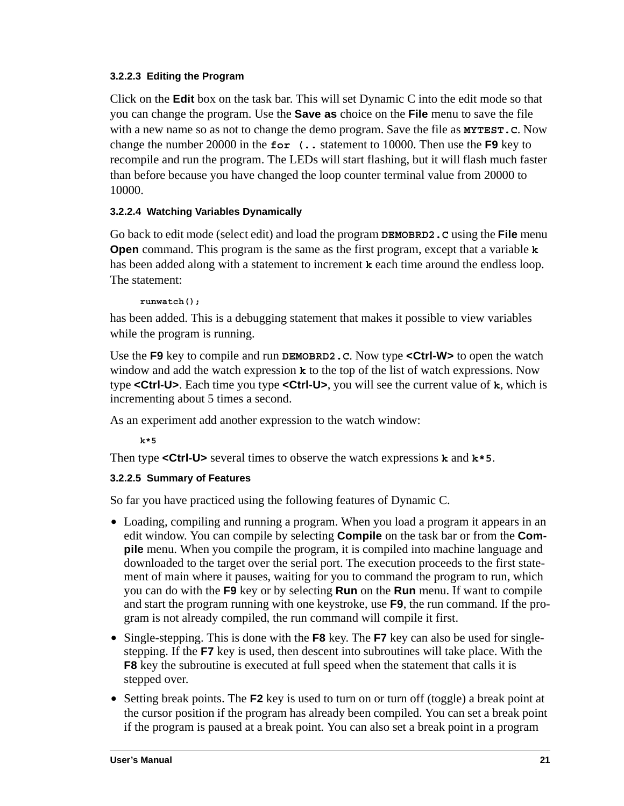#### <span id="page-24-0"></span>**3.2.2.3 Editing the Program**

Click on the **Edit** box on the task bar. This will set Dynamic C into the edit mode so that you can change the program. Use the **Save as** choice on the **File** menu to save the file with a new name so as not to change the demo program. Save the file as **MYTEST.C**. Now change the number 20000 in the **for (..** statement to 10000. Then use the **F9** key to recompile and run the program. The LEDs will start flashing, but it will flash much faster than before because you have changed the loop counter terminal value from 20000 to 10000.

#### <span id="page-24-1"></span>**3.2.2.4 Watching Variables Dynamically**

Go back to edit mode (select edit) and load the program **DEMOBRD2.C** using the **File** menu **Open** command. This program is the same as the first program, except that a variable **k** has been added along with a statement to increment **k** each time around the endless loop. The statement:

**runwatch();**

has been added. This is a debugging statement that makes it possible to view variables while the program is running.

Use the **F9** key to compile and run **DEMOBRD2.C**. Now type **<Ctrl-W>** to open the watch window and add the watch expression **k** to the top of the list of watch expressions. Now type **<Ctrl-U>**. Each time you type **<Ctrl-U>**, you will see the current value of **k**, which is incrementing about 5 times a second.

As an experiment add another expression to the watch window:

**k\*5**

Then type **<Ctrl-U>** several times to observe the watch expressions **k** and **k\*5**.

#### <span id="page-24-2"></span>**3.2.2.5 Summary of Features**

So far you have practiced using the following features of Dynamic C.

- **•** Loading, compiling and running a program. When you load a program it appears in an edit window. You can compile by selecting **Compile** on the task bar or from the **Compile** menu. When you compile the program, it is compiled into machine language and downloaded to the target over the serial port. The execution proceeds to the first statement of main where it pauses, waiting for you to command the program to run, which you can do with the **F9** key or by selecting **Run** on the **Run** menu. If want to compile and start the program running with one keystroke, use **F9**, the run command. If the program is not already compiled, the run command will compile it first.
- **•** Single-stepping. This is done with the **F8** key. The **F7** key can also be used for singlestepping. If the **F7** key is used, then descent into subroutines will take place. With the **F8** key the subroutine is executed at full speed when the statement that calls it is stepped over.
- **•** Setting break points. The **F2** key is used to turn on or turn off (toggle) a break point at the cursor position if the program has already been compiled. You can set a break point if the program is paused at a break point. You can also set a break point in a program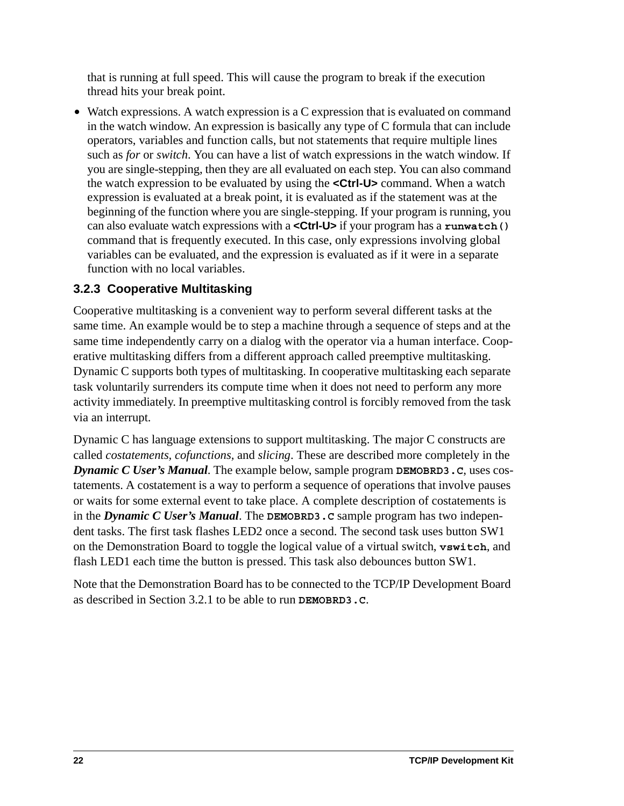that is running at full speed. This will cause the program to break if the execution thread hits your break point.

• Watch expressions. A watch expression is a C expression that is evaluated on command in the watch window. An expression is basically any type of C formula that can include operators, variables and function calls, but not statements that require multiple lines such as *for* or *switch*. You can have a list of watch expressions in the watch window. If you are single-stepping, then they are all evaluated on each step. You can also command the watch expression to be evaluated by using the **<Ctrl-U>** command. When a watch expression is evaluated at a break point, it is evaluated as if the statement was at the beginning of the function where you are single-stepping. If your program is running, you can also evaluate watch expressions with a **<Ctrl-U>** if your program has a **runwatch()** command that is frequently executed. In this case, only expressions involving global variables can be evaluated, and the expression is evaluated as if it were in a separate function with no local variables.

#### <span id="page-25-0"></span>**3.2.3 Cooperative Multitasking**

Cooperative multitasking is a convenient way to perform several different tasks at the same time. An example would be to step a machine through a sequence of steps and at the same time independently carry on a dialog with the operator via a human interface. Cooperative multitasking differs from a different approach called preemptive multitasking. Dynamic C supports both types of multitasking. In cooperative multitasking each separate task voluntarily surrenders its compute time when it does not need to perform any more activity immediately. In preemptive multitasking control is forcibly removed from the task via an interrupt.

Dynamic C has language extensions to support multitasking. The major C constructs are called *costatements, cofunctions,* and *slicing*. These are described more completely in the *Dynamic C User's Manual*. The example below, sample program **DEMOBRD3.C**, uses costatements. A costatement is a way to perform a sequence of operations that involve pauses or waits for some external event to take place. A complete description of costatements is in the *Dynamic C User's Manual*. The **DEMOBRD3.C** sample program has two independent tasks. The first task flashes LED2 once a second. The second task uses button SW1 on the Demonstration Board to toggle the logical value of a virtual switch, **vswitch**, and flash LED1 each time the button is pressed. This task also debounces button SW1.

Note that the Demonstration Board has to be connected to the TCP/IP Development Board as described in [Section 3.2.1](#page-21-1) to be able to run **DEMOBRD3.C**.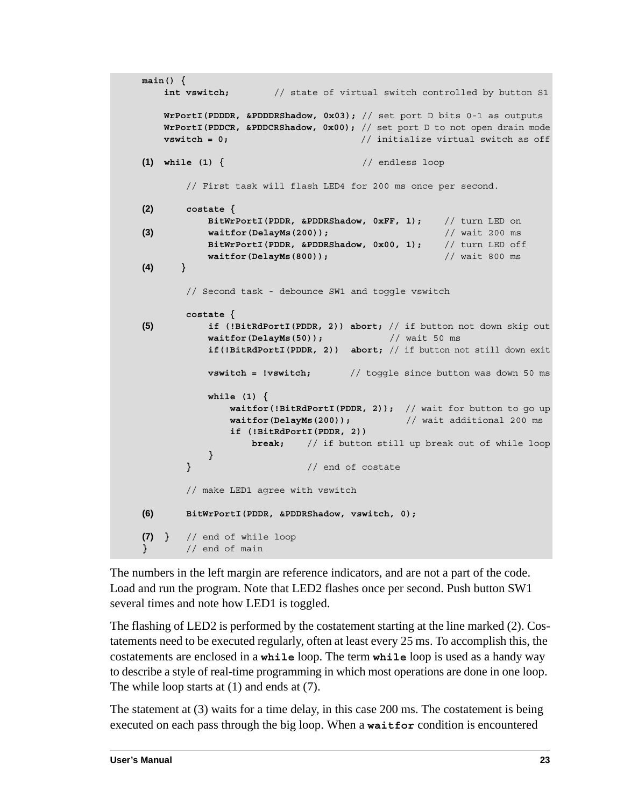```
main() {
   int vswitch; // state of virtual switch controlled by button S1
   WrPortI(PDDDR, &PDDDRShadow, 0x03); // set port D bits 0-1 as outputs
   WrPortI(PDDCR, &PDDCRShadow, 0x00); // set port D to not open drain mode
   vswitch = 0; // initialize virtual switch as off
(1) while (1) { // endless loop
      // First task will flash LED4 for 200 ms once per second.
(2) costate {
          BitWrPortI(PDDR, &PDDRShadow, 0xFF, 1); // turn LED on
(3) waitfor(DelayMs(200)); // wait 200 ms
          BitWrPortI(PDDR, &PDDRShadow, 0x00, 1); // turn LED off
          waitfor(DelayMs(800)); // wait 800 ms
(4) }
      // Second task - debounce SW1 and toggle vswitch
      costate {
(5) if (!BitRdPortI(PDDR, 2)) abort; // if button not down skip out
          waitfor(DelayMs(50)); // wait 50 ms
          if(!BitRdPortI(PDDR, 2)) abort; // if button not still down exit
          vswitch = !vswitch; // toggle since button was down 50 ms
          while (1) {
             waitfor(!BitRdPortI(PDDR, 2)); // wait for button to go up
             waitfor(DelayMs(200)); // wait additional 200 ms
             if (!BitRdPortI(PDDR, 2))
                 break; // if button still up break out of while loop
          }
      } // end of costate
      // make LED1 agree with vswitch
(6) BitWrPortI(PDDR, &PDDRShadow, vswitch, 0);
(7) } // end of while loop
} // end of main
```
The numbers in the left margin are reference indicators, and are not a part of the code. Load and run the program. Note that LED2 flashes once per second. Push button SW1 several times and note how LED1 is toggled.

The flashing of LED2 is performed by the costatement starting at the line marked (2). Costatements need to be executed regularly, often at least every 25 ms. To accomplish this, the costatements are enclosed in a **while** loop. The term **while** loop is used as a handy way to describe a style of real-time programming in which most operations are done in one loop. The while loop starts at (1) and ends at (7).

The statement at (3) waits for a time delay, in this case 200 ms. The costatement is being executed on each pass through the big loop. When a **waitfor** condition is encountered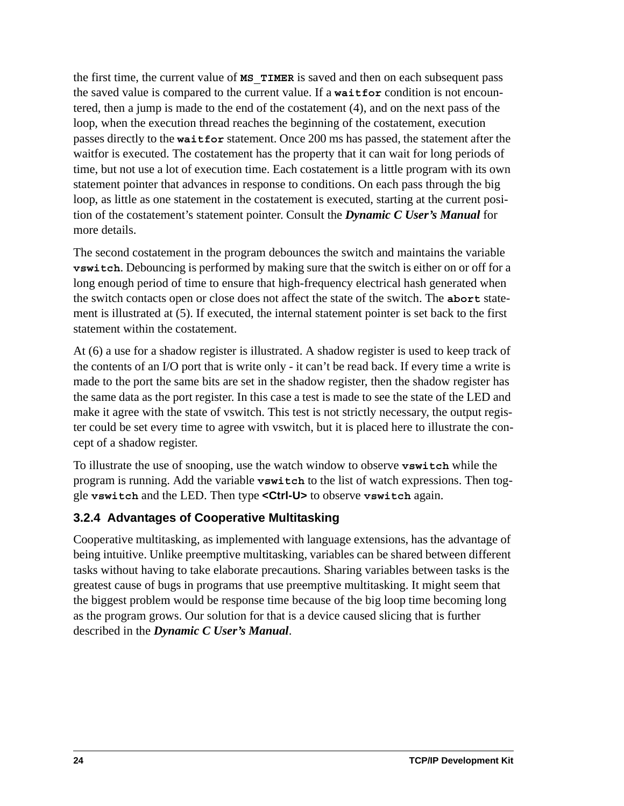the first time, the current value of **MS\_TIMER** is saved and then on each subsequent pass the saved value is compared to the current value. If a **waitfor** condition is not encountered, then a jump is made to the end of the costatement (4), and on the next pass of the loop, when the execution thread reaches the beginning of the costatement, execution passes directly to the **waitfor** statement. Once 200 ms has passed, the statement after the waitfor is executed. The costatement has the property that it can wait for long periods of time, but not use a lot of execution time. Each costatement is a little program with its own statement pointer that advances in response to conditions. On each pass through the big loop, as little as one statement in the costatement is executed, starting at the current position of the costatement's statement pointer. Consult the *Dynamic C User's Manual* for more details.

The second costatement in the program debounces the switch and maintains the variable **vswitch**. Debouncing is performed by making sure that the switch is either on or off for a long enough period of time to ensure that high-frequency electrical hash generated when the switch contacts open or close does not affect the state of the switch. The **abort** statement is illustrated at (5). If executed, the internal statement pointer is set back to the first statement within the costatement.

At (6) a use for a shadow register is illustrated. A shadow register is used to keep track of the contents of an I/O port that is write only - it can't be read back. If every time a write is made to the port the same bits are set in the shadow register, then the shadow register has the same data as the port register. In this case a test is made to see the state of the LED and make it agree with the state of vswitch. This test is not strictly necessary, the output register could be set every time to agree with vswitch, but it is placed here to illustrate the concept of a shadow register.

To illustrate the use of snooping, use the watch window to observe **vswitch** while the program is running. Add the variable **vswitch** to the list of watch expressions. Then toggle **vswitch** and the LED. Then type **<Ctrl-U>** to observe **vswitch** again.

### <span id="page-27-0"></span>**3.2.4 Advantages of Cooperative Multitasking**

Cooperative multitasking, as implemented with language extensions, has the advantage of being intuitive. Unlike preemptive multitasking, variables can be shared between different tasks without having to take elaborate precautions. Sharing variables between tasks is the greatest cause of bugs in programs that use preemptive multitasking. It might seem that the biggest problem would be response time because of the big loop time becoming long as the program grows. Our solution for that is a device caused slicing that is further described in the *Dynamic C User's Manual*.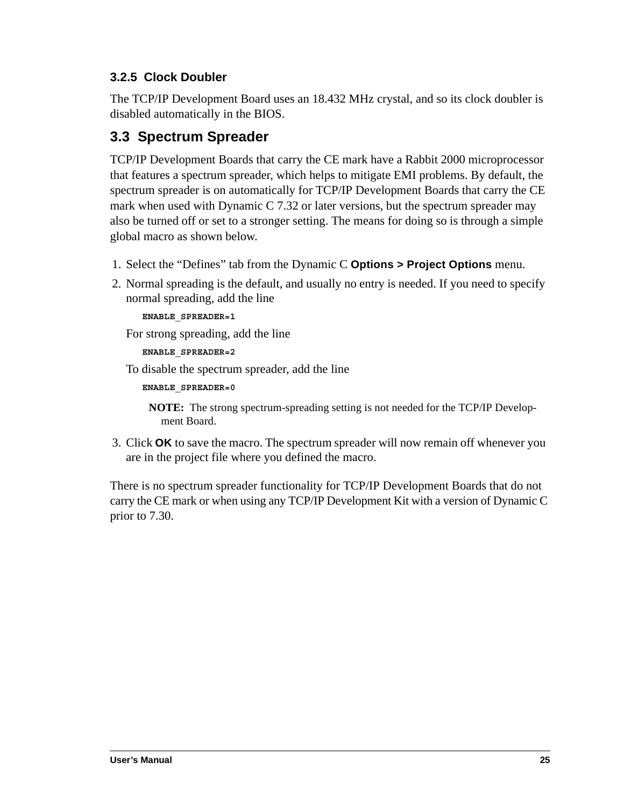## <span id="page-28-0"></span>**3.2.5 Clock Doubler**

The TCP/IP Development Board uses an 18.432 MHz crystal, and so its clock doubler is disabled automatically in the BIOS.

# <span id="page-28-1"></span>**3.3 Spectrum Spreader**

TCP/IP Development Boards that carry the CE mark have a Rabbit 2000 microprocessor that features a spectrum spreader, which helps to mitigate EMI problems. By default, the spectrum spreader is on automatically for TCP/IP Development Boards that carry the CE mark when used with Dynamic C 7.32 or later versions, but the spectrum spreader may also be turned off or set to a stronger setting. The means for doing so is through a simple global macro as shown below.

- 1. Select the "Defines" tab from the Dynamic C **Options > Project Options** menu.
- 2. Normal spreading is the default, and usually no entry is needed. If you need to specify normal spreading, add the line

**ENABLE\_SPREADER=1**

For strong spreading, add the line

```
ENABLE_SPREADER=2
```
To disable the spectrum spreader, add the line

```
ENABLE_SPREADER=0
```
**NOTE:** The strong spectrum-spreading setting is not needed for the TCP/IP Development Board.

3. Click **OK** to save the macro. The spectrum spreader will now remain off whenever you are in the project file where you defined the macro.

There is no spectrum spreader functionality for TCP/IP Development Boards that do not carry the CE mark or when using any TCP/IP Development Kit with a version of Dynamic C prior to 7.30.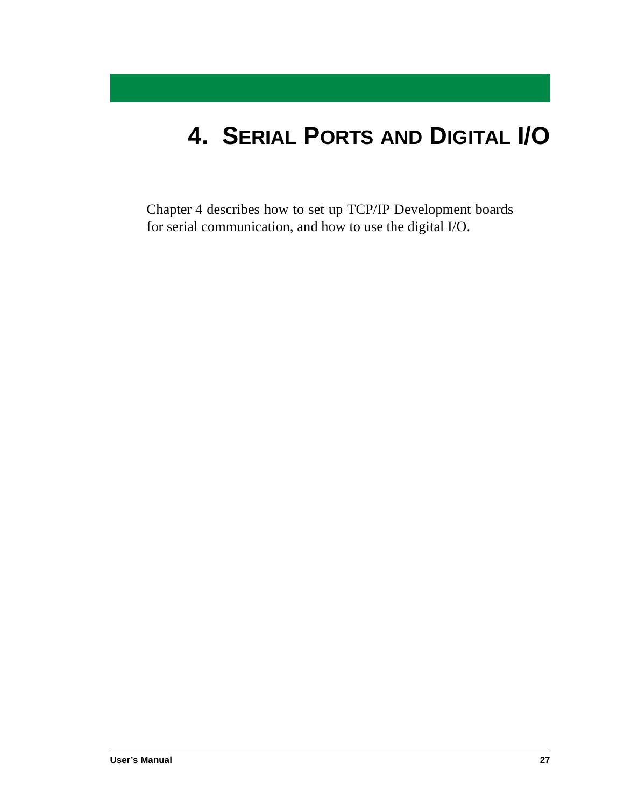# <span id="page-30-0"></span>**4. SERIAL PORTS AND DIGITAL I/O**

[Chapter 4](#page-30-0) describes how to set up TCP/IP Development boards for serial communication, and how to use the digital I/O.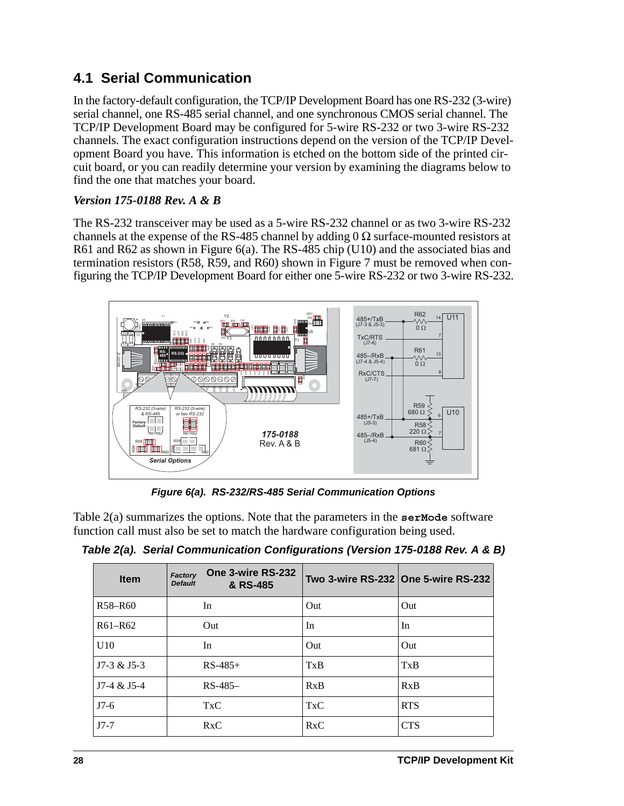# <span id="page-31-0"></span>**4.1 Serial Communication**

In the factory-default configuration, the TCP/IP Development Board has one RS-232 (3-wire) serial channel, one RS-485 serial channel, and one synchronous CMOS serial channel. The TCP/IP Development Board may be configured for 5-wire RS-232 or two 3-wire RS-232 channels. The exact configuration instructions depend on the version of the TCP/IP Development Board you have. This information is etched on the bottom side of the printed circuit board, or you can readily determine your version by examining the diagrams below to find the one that matches your board.

#### *Version 175-0188 Rev. A & B*

The RS-232 transceiver may be used as a 5-wire RS-232 channel or as two 3-wire RS-232 channels at the expense of the RS-485 channel by adding  $0 \Omega$  surface-mounted resistors at R61 and R62 as shown in [Figure 6\(a](#page-31-1)). The RS-485 chip (U10) and the associated bias and termination resistors (R58, R59, and R60) shown in Figure 7 must be removed when configuring the TCP/IP Development Board for either one 5-wire RS-232 or two 3-wire RS-232.



*Figure 6(a). RS-232/RS-485 Serial Communication Options*

<span id="page-31-1"></span>[Table 2\(a\)](#page-31-2) summarizes the options. Note that the parameters in the **serMode** software function call must also be set to match the hardware configuration being used.

<span id="page-31-2"></span>*Table 2(a). Serial Communication Configurations (Version 175-0188 Rev. A & B)*

| <b>Item</b>   | One 3-wire RS-232<br>Factory<br><b>Default</b><br>& RS-485 |            | Two 3-wire RS-232 One 5-wire RS-232 |
|---------------|------------------------------------------------------------|------------|-------------------------------------|
| R58-R60       | In                                                         | Out        | Out                                 |
| $R61 - R62$   | Out                                                        | In         | In                                  |
| U10           | In                                                         | Out        | Out                                 |
| $J7-3 & 15-3$ | $RS-485+$                                                  | TxB        | TxB                                 |
| $J7-4 & 15-4$ | $RS-485-$                                                  | RxB        | RxB                                 |
| $J7-6$        | <b>TxC</b>                                                 | <b>TxC</b> | <b>RTS</b>                          |
| $J7-7$        | RxC                                                        | RxC        | <b>CTS</b>                          |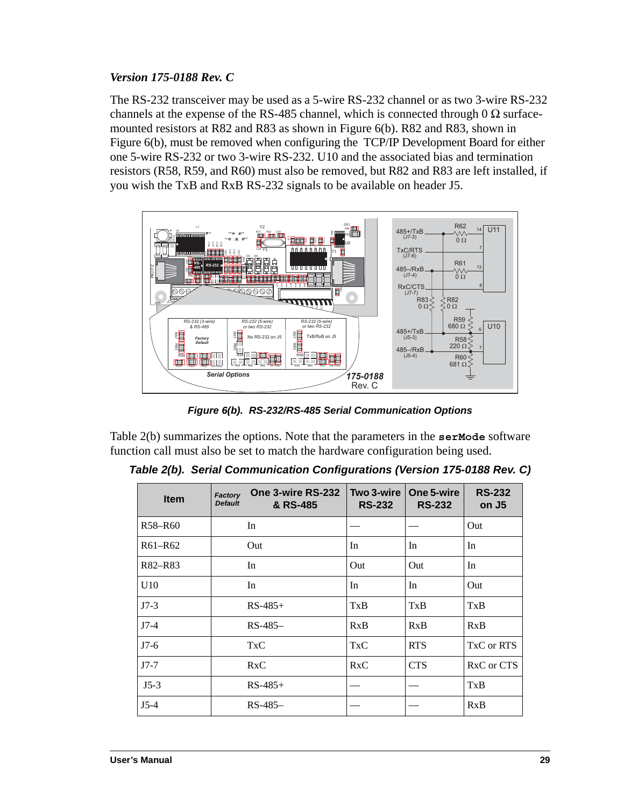#### *Version 175-0188 Rev. C*

The RS-232 transceiver may be used as a 5-wire RS-232 channel or as two 3-wire RS-232 channels at the expense of the RS-485 channel, which is connected through 0  $\Omega$  surfacemounted resistors at R82 and R83 as shown in [Figure 6\(b\)](#page-32-1). R82 and R83, shown in [Figure 6\(b](#page-32-1)), must be removed when configuring the TCP/IP Development Board for either one 5-wire RS-232 or two 3-wire RS-232. U10 and the associated bias and termination resistors (R58, R59, and R60) must also be removed, but R82 and R83 are left installed, if you wish the TxB and RxB RS-232 signals to be available on header J5.



*Figure 6(b). RS-232/RS-485 Serial Communication Options*

<span id="page-32-1"></span>[Table 2\(b](#page-32-0)) summarizes the options. Note that the parameters in the **serMode** software function call must also be set to match the hardware configuration being used.

<span id="page-32-0"></span>*Table 2(b). Serial Communication Configurations (Version 175-0188 Rev. C)*

| <b>Item</b> | One 3-wire RS-232<br>Factory<br><b>Default</b><br>& RS-485 | Two 3-wire<br><b>RS-232</b> | One 5-wire<br><b>RS-232</b> | <b>RS-232</b><br>on J <sub>5</sub> |
|-------------|------------------------------------------------------------|-----------------------------|-----------------------------|------------------------------------|
| R58-R60     | In                                                         |                             |                             | Out                                |
| $R61 - R62$ | Out                                                        | In                          | In                          | In                                 |
| R82-R83     | In                                                         | Out                         | Out                         | In                                 |
| U10         | In                                                         | In                          | In                          | Out                                |
| $J7-3$      | $RS-485+$                                                  | TxB                         | TxB                         | TxB                                |
| $J7-4$      | $RS-485-$                                                  | RxB                         | RxB                         | RxB                                |
| $J7-6$      | <b>TxC</b>                                                 | <b>TxC</b>                  | <b>RTS</b>                  | TxC or RTS                         |
| $J7-7$      | RxC                                                        | RxC                         | <b>CTS</b>                  | RxC or CTS                         |
| $J5-3$      | $RS-485+$                                                  |                             |                             | TxB                                |
| $J5-4$      | $RS-485-$                                                  |                             |                             | RxB                                |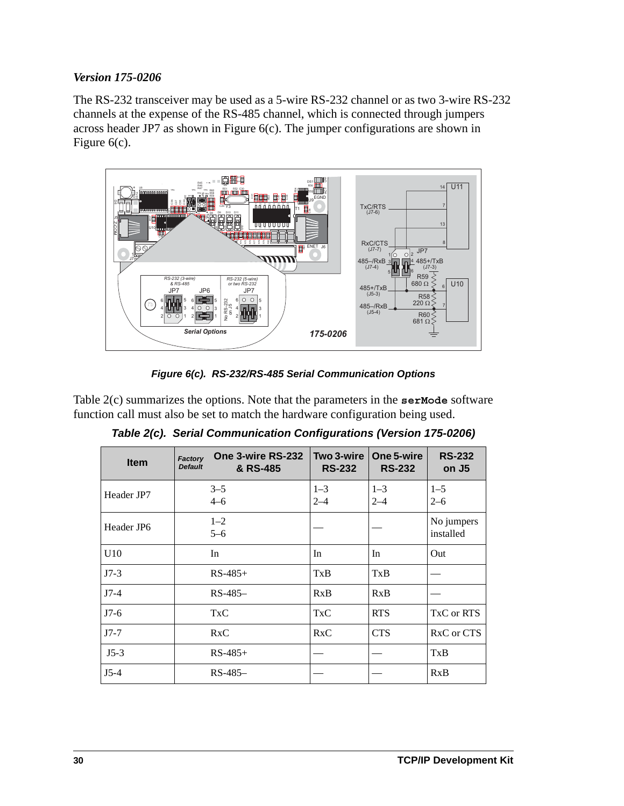#### *Version 175-0206*

The RS-232 transceiver may be used as a 5-wire RS-232 channel or as two 3-wire RS-232 channels at the expense of the RS-485 channel, which is connected through jumpers across header JP7 as shown in [Figure 6\(c\)](#page-33-0). The jumper configurations are shown in [Figure 6\(c\)](#page-33-0).



*Figure 6(c). RS-232/RS-485 Serial Communication Options*

<span id="page-33-1"></span><span id="page-33-0"></span>[Table 2\(c\)](#page-33-1) summarizes the options. Note that the parameters in the **serMode** software function call must also be set to match the hardware configuration being used.

| <b>Item</b> | One 3-wire RS-232<br><b>Factory</b><br><b>Default</b><br>& RS-485 | Two 3-wire<br><b>RS-232</b> | One 5-wire<br><b>RS-232</b> | <b>RS-232</b><br>on J <sub>5</sub> |
|-------------|-------------------------------------------------------------------|-----------------------------|-----------------------------|------------------------------------|
| Header JP7  | $3 - 5$<br>$4 - 6$                                                | $1 - 3$<br>$2 - 4$          | $1 - 3$<br>$2 - 4$          | $1 - 5$<br>$2 - 6$                 |
| Header JP6  | $1 - 2$<br>$5 - 6$                                                |                             |                             | No jumpers<br>installed            |
| U10         | In                                                                | In                          | In                          | Out                                |
| $J7-3$      | $RS-485+$                                                         | TxB                         | TxB                         |                                    |
| $J7-4$      | $RS-485-$                                                         | RxB                         | RxB                         |                                    |
| $J7-6$      | <b>TxC</b>                                                        | TxC                         | <b>RTS</b>                  | TxC or RTS                         |
| $J7-7$      | RxC                                                               | RxC                         | <b>CTS</b>                  | RxC or CTS                         |
| $J5-3$      | $RS-485+$                                                         |                             |                             | TxB                                |
| $J5-4$      | RS-485-                                                           |                             |                             | RxB                                |

*Table 2(c). Serial Communication Configurations (Version 175-0206)*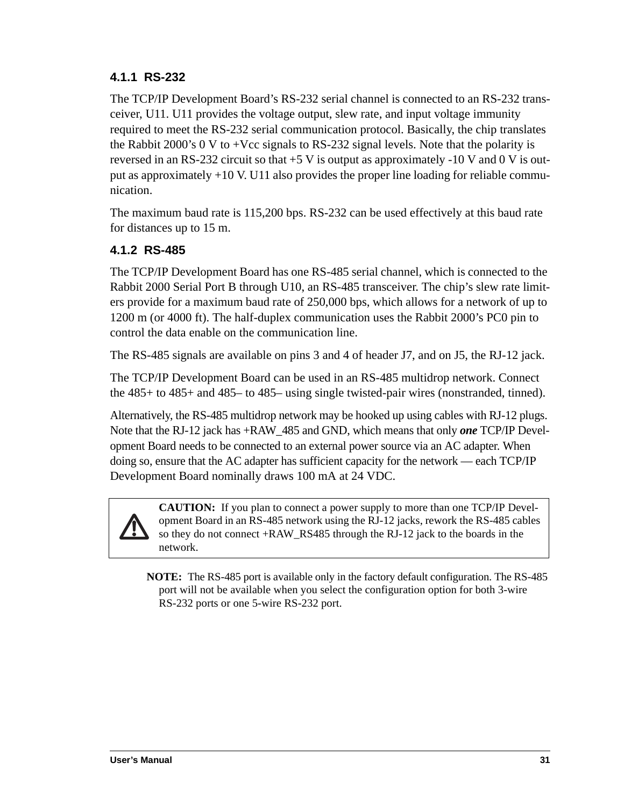## <span id="page-34-0"></span>**4.1.1 RS-232**

The TCP/IP Development Board's RS-232 serial channel is connected to an RS-232 transceiver, U11. U11 provides the voltage output, slew rate, and input voltage immunity required to meet the RS-232 serial communication protocol. Basically, the chip translates the Rabbit 2000's 0 V to +Vcc signals to RS-232 signal levels. Note that the polarity is reversed in an RS-232 circuit so that  $+5$  V is output as approximately -10 V and 0 V is output as approximately +10 V. U11 also provides the proper line loading for reliable communication.

The maximum baud rate is 115,200 bps. RS-232 can be used effectively at this baud rate for distances up to 15 m.

## <span id="page-34-1"></span>**4.1.2 RS-485**

The TCP/IP Development Board has one RS-485 serial channel, which is connected to the Rabbit 2000 Serial Port B through U10, an RS-485 transceiver. The chip's slew rate limiters provide for a maximum baud rate of 250,000 bps, which allows for a network of up to 1200 m (or 4000 ft). The half-duplex communication uses the Rabbit 2000's PC0 pin to control the data enable on the communication line.

The RS-485 signals are available on pins 3 and 4 of header J7, and on J5, the RJ-12 jack.

The TCP/IP Development Board can be used in an RS-485 multidrop network. Connect the 485+ to 485+ and 485– to 485– using single twisted-pair wires (nonstranded, tinned).

Alternatively, the RS-485 multidrop network may be hooked up using cables with RJ-12 plugs. Note that the RJ-12 jack has +RAW\_485 and GND, which means that only *one* TCP/IP Development Board needs to be connected to an external power source via an AC adapter. When doing so, ensure that the AC adapter has sufficient capacity for the network — each TCP/IP Development Board nominally draws 100 mA at 24 VDC.



**CAUTION:** If you plan to connect a power supply to more than one TCP/IP Development Board in an RS-485 network using the RJ-12 jacks, rework the RS-485 cables so they do not connect +RAW\_RS485 through the RJ-12 jack to the boards in the network.

**NOTE:** The RS-485 port is available only in the factory default configuration. The RS-485 port will not be available when you select the configuration option for both 3-wire RS-232 ports or one 5-wire RS-232 port.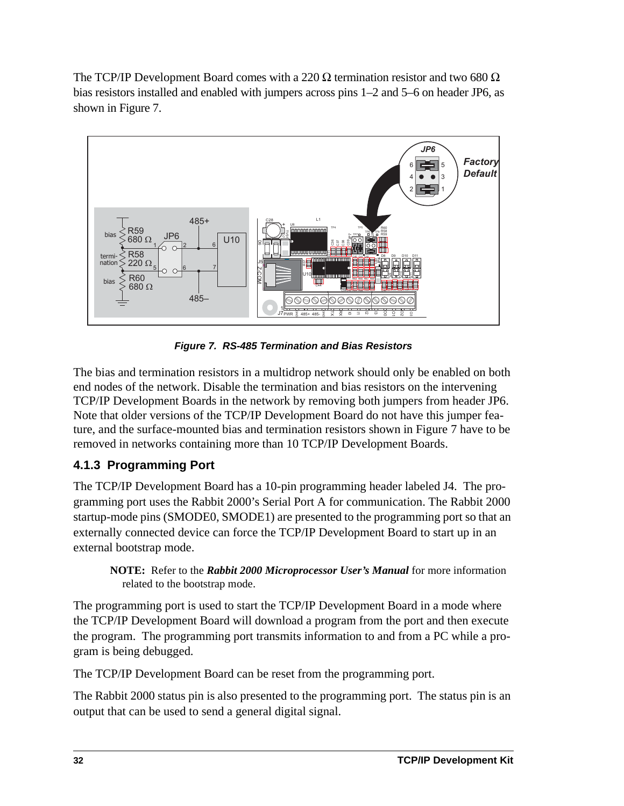The TCP/IP Development Board comes with a 220  $\Omega$  termination resistor and two 680  $\Omega$ bias resistors installed and enabled with jumpers across pins 1–2 and 5–6 on header JP6, as shown in [Figure 7.](#page-35-1)



*Figure 7. RS-485 Termination and Bias Resistors*

<span id="page-35-1"></span>The bias and termination resistors in a multidrop network should only be enabled on both end nodes of the network. Disable the termination and bias resistors on the intervening TCP/IP Development Boards in the network by removing both jumpers from header JP6. Note that older versions of the TCP/IP Development Board do not have this jumper feature, and the surface-mounted bias and termination resistors shown in [Figure 7](#page-35-1) have to be removed in networks containing more than 10 TCP/IP Development Boards.

## <span id="page-35-0"></span>**4.1.3 Programming Port**

The TCP/IP Development Board has a 10-pin programming header labeled J4. The programming port uses the Rabbit 2000's Serial Port A for communication. The Rabbit 2000 startup-mode pins (SMODE0, SMODE1) are presented to the programming port so that an externally connected device can force the TCP/IP Development Board to start up in an external bootstrap mode.

#### **NOTE:** Refer to the *Rabbit 2000 Microprocessor User's Manual* for more information related to the bootstrap mode.

The programming port is used to start the TCP/IP Development Board in a mode where the TCP/IP Development Board will download a program from the port and then execute the program. The programming port transmits information to and from a PC while a program is being debugged.

The TCP/IP Development Board can be reset from the programming port.

The Rabbit 2000 status pin is also presented to the programming port. The status pin is an output that can be used to send a general digital signal.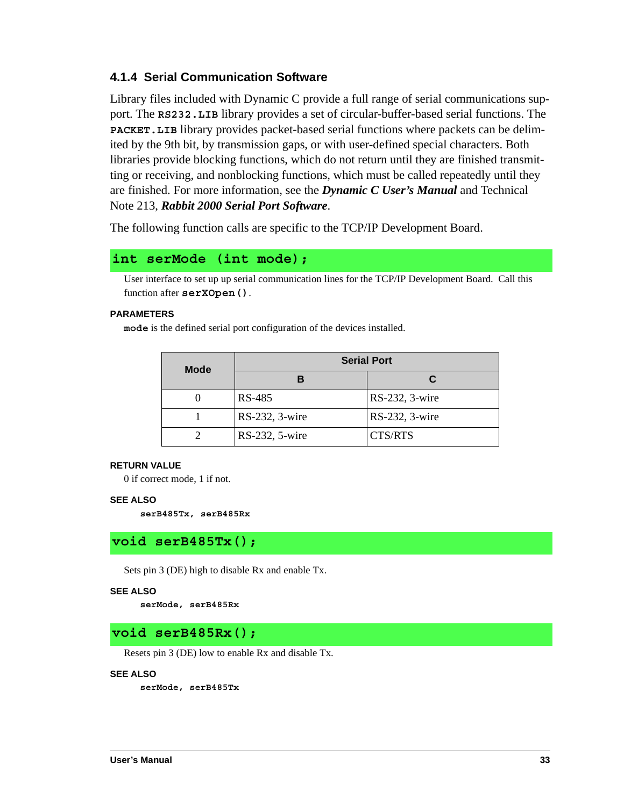## **4.1.4 Serial Communication Software**

<span id="page-36-4"></span><span id="page-36-3"></span>Library files included with Dynamic C provide a full range of serial communications support. The **RS232.LIB** library provides a set of circular-buffer-based serial functions. The **PACKET.LIB** library provides packet-based serial functions where packets can be delimited by the 9th bit, by transmission gaps, or with user-defined special characters. Both libraries provide blocking functions, which do not return until they are finished transmitting or receiving, and nonblocking functions, which must be called repeatedly until they are finished. For more information, see the *Dynamic C User's Manual* and Technical Note 213, *Rabbit 2000 Serial Port Software*.

The following function calls are specific to the TCP/IP Development Board.

### <span id="page-36-2"></span>**int serMode (int mode);**

User interface to set up up serial communication lines for the TCP/IP Development Board. Call this function after **serXOpen()**.

#### **PARAMETERS**

**mode** is the defined serial port configuration of the devices installed.

| <b>Mode</b> | <b>Serial Port</b> |                |  |
|-------------|--------------------|----------------|--|
|             |                    | С              |  |
|             | RS-485             | RS-232, 3-wire |  |
|             | RS-232, 3-wire     | RS-232, 3-wire |  |
|             | RS-232, 5-wire     | CTS/RTS        |  |

#### **RETURN VALUE**

0 if correct mode, 1 if not.

#### **SEE ALSO**

<span id="page-36-1"></span>**serB485Tx, serB485Rx**

## **void serB485Tx();**

Sets pin 3 (DE) high to disable Rx and enable Tx.

#### **SEE ALSO**

<span id="page-36-0"></span>**serMode, serB485Rx**

#### **void serB485Rx();**

Resets pin 3 (DE) low to enable Rx and disable Tx.

#### **SEE ALSO**

**serMode, serB485Tx**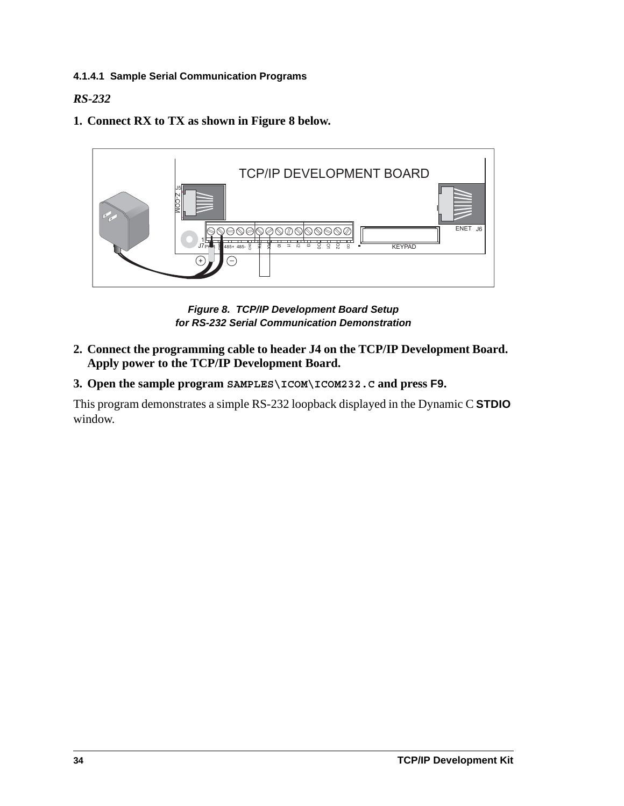### **4.1.4.1 Sample Serial Communication Programs**

## <span id="page-37-1"></span>*RS-232*

**1. Connect RX to TX as shown in [Figure 8](#page-37-0) below.**



*Figure 8. TCP/IP Development Board Setup for RS-232 Serial Communication Demonstration*

- <span id="page-37-0"></span>**2. Connect the programming cable to header J4 on the TCP/IP Development Board. Apply power to the TCP/IP Development Board.**
- **3. Open the sample program SAMPLES\ICOM\ICOM232.C and press F9.**

This program demonstrates a simple RS-232 loopback displayed in the Dynamic C **STDIO** window.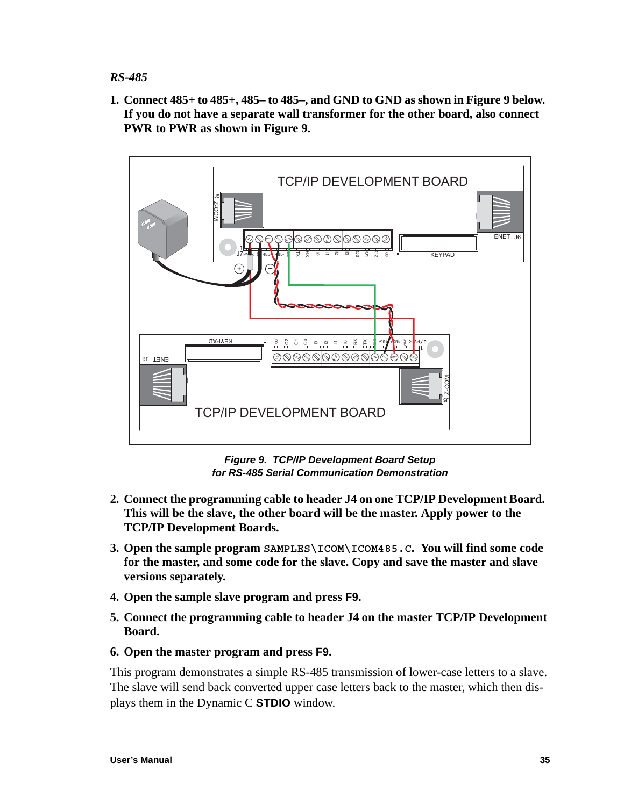### <span id="page-38-1"></span>*RS-485*

**1. Connect 485+ to 485+, 485– to 485–, and GND to GND as shown in [Figure 9](#page-38-0) below. If you do not have a separate wall transformer for the other board, also connect PWR to PWR as shown in [Figure 9.](#page-38-0)**



*Figure 9. TCP/IP Development Board Setup for RS-485 Serial Communication Demonstration*

- <span id="page-38-0"></span>**2. Connect the programming cable to header J4 on one TCP/IP Development Board. This will be the slave, the other board will be the master. Apply power to the TCP/IP Development Boards.**
- **3. Open the sample program SAMPLES\ICOM\ICOM485.C. You will find some code for the master, and some code for the slave. Copy and save the master and slave versions separately.**
- **4. Open the sample slave program and press F9.**
- **5. Connect the programming cable to header J4 on the master TCP/IP Development Board.**
- **6. Open the master program and press F9.**

This program demonstrates a simple RS-485 transmission of lower-case letters to a slave. The slave will send back converted upper case letters back to the master, which then displays them in the Dynamic C **STDIO** window.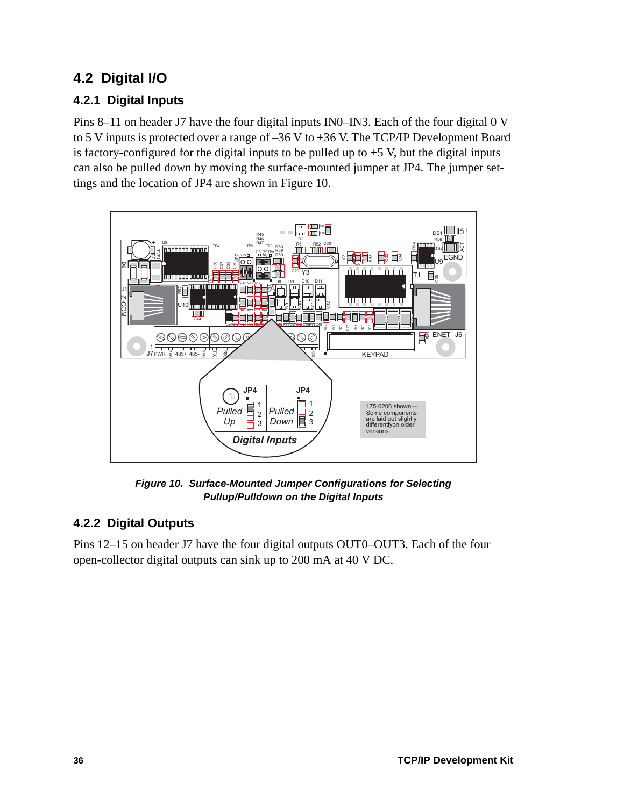# **4.2 Digital I/O**

## **4.2.1 Digital Inputs**

<span id="page-39-1"></span>Pins 8–11 on header J7 have the four digital inputs IN0–IN3. Each of the four digital 0 V to 5 V inputs is protected over a range of  $-36$  V to  $+36$  V. The TCP/IP Development Board is factory-configured for the digital inputs to be pulled up to  $+5$  V, but the digital inputs can also be pulled down by moving the surface-mounted jumper at JP4. The jumper settings and the location of JP4 are shown in [Figure 10.](#page-39-0)



<span id="page-39-4"></span><span id="page-39-2"></span>*Figure 10. Surface-Mounted Jumper Configurations for Selecting Pullup/Pulldown on the Digital Inputs*

## <span id="page-39-3"></span><span id="page-39-0"></span>**4.2.2 Digital Outputs**

Pins 12–15 on header J7 have the four digital outputs OUT0–OUT3. Each of the four open-collector digital outputs can sink up to 200 mA at 40 V DC.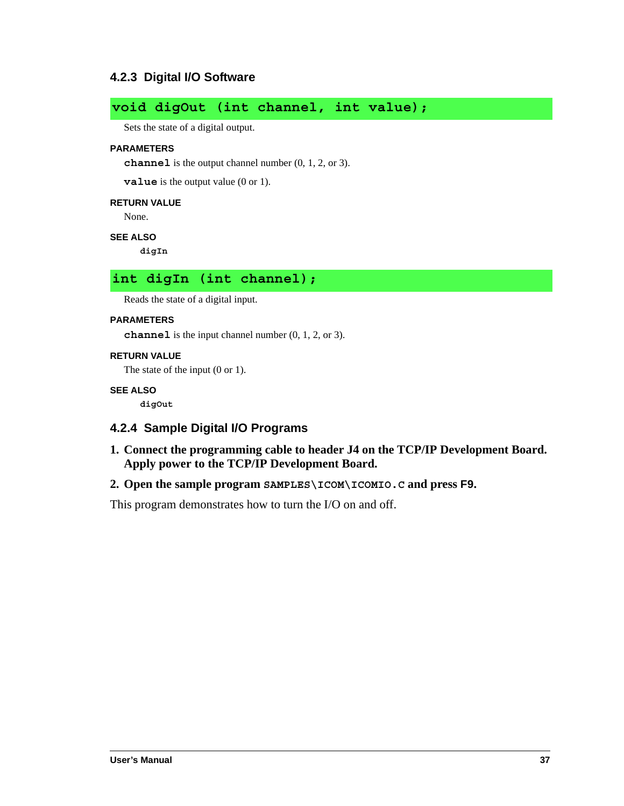## **4.2.3 Digital I/O Software**

# <span id="page-40-1"></span>**void digOut (int channel, int value);**

Sets the state of a digital output.

#### **PARAMETERS**

**channel** is the output channel number (0, 1, 2, or 3).

**value** is the output value (0 or 1).

#### **RETURN VALUE**

None.

#### **SEE ALSO**

<span id="page-40-0"></span>**digIn**

### **int digIn (int channel);**

Reads the state of a digital input.

#### **PARAMETERS**

**channel** is the input channel number (0, 1, 2, or 3).

#### **RETURN VALUE**

The state of the input (0 or 1).

#### **SEE ALSO**

<span id="page-40-2"></span>**digOut**

#### **4.2.4 Sample Digital I/O Programs**

**1. Connect the programming cable to header J4 on the TCP/IP Development Board. Apply power to the TCP/IP Development Board.**

#### **2. Open the sample program SAMPLES\ICOM\ICOMIO.C and press F9.**

This program demonstrates how to turn the I/O on and off.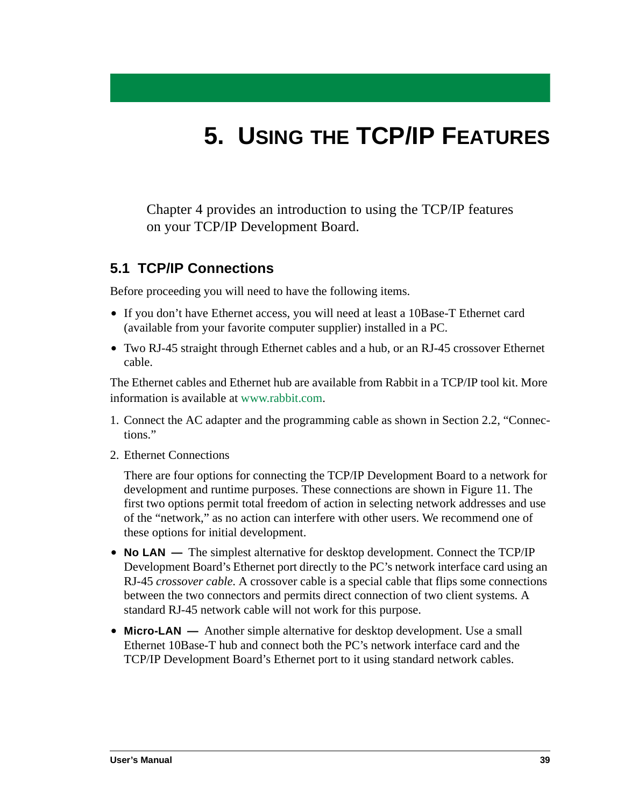# **5. USING THE TCP/IP FEATURES**

Chapter 4 provides an introduction to using the TCP/IP features on your TCP/IP Development Board.

## <span id="page-42-0"></span>**5.1 TCP/IP Connections**

Before proceeding you will need to have the following items.

- **•** If you don't have Ethernet access, you will need at least a 10Base-T Ethernet card (available from your favorite computer supplier) installed in a PC.
- **•** Two RJ-45 straight through Ethernet cables and a hub, or an RJ-45 crossover Ethernet cable.

The Ethernet cables and Ethernet hub are available from Rabbit in a TCP/IP tool kit. More information is available at [www.rabbit.com](http://www.rabbit.com/).

- <span id="page-42-1"></span>1. Connect the AC adapter and the programming cable as shown in [Section 2.2, "Connec](#page-13-0)[tions."](#page-13-0)
- 2. Ethernet Connections

There are four options for connecting the TCP/IP Development Board to a network for development and runtime purposes. These connections are shown in [Figure 11](#page-44-0). The first two options permit total freedom of action in selecting network addresses and use of the "network," as no action can interfere with other users. We recommend one of these options for initial development.

- **No LAN** The simplest alternative for desktop development. Connect the TCP/IP Development Board's Ethernet port directly to the PC's network interface card using an RJ-45 *crossover cable*. A crossover cable is a special cable that flips some connections between the two connectors and permits direct connection of two client systems. A standard RJ-45 network cable will not work for this purpose.
- **Micro-LAN** Another simple alternative for desktop development. Use a small Ethernet 10Base-T hub and connect both the PC's network interface card and the TCP/IP Development Board's Ethernet port to it using standard network cables.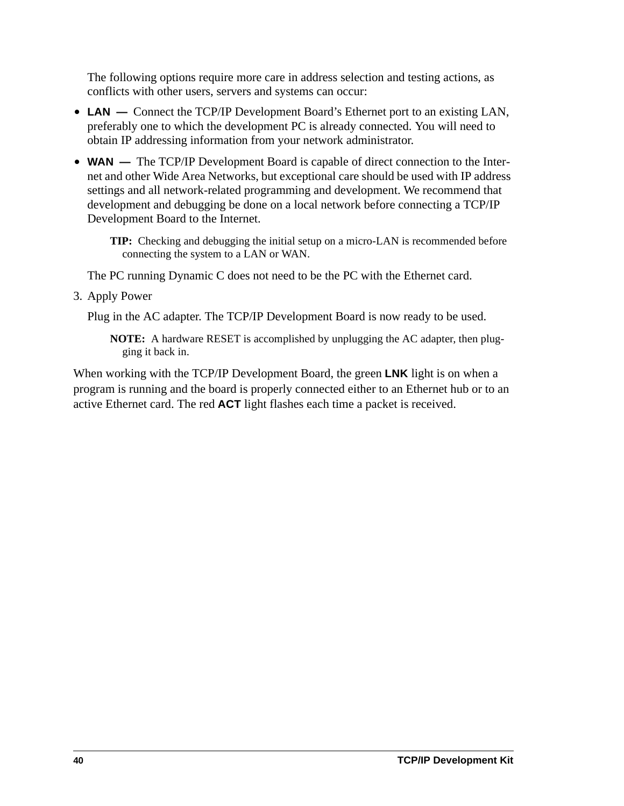<span id="page-43-0"></span>The following options require more care in address selection and testing actions, as conflicts with other users, servers and systems can occur:

- **• LAN —** Connect the TCP/IP Development Board's Ethernet port to an existing LAN, preferably one to which the development PC is already connected. You will need to obtain IP addressing information from your network administrator.
- **WAN** The TCP/IP Development Board is capable of direct connection to the Internet and other Wide Area Networks, but exceptional care should be used with IP address settings and all network-related programming and development. We recommend that development and debugging be done on a local network before connecting a TCP/IP Development Board to the Internet.

**TIP:** Checking and debugging the initial setup on a micro-LAN is recommended before connecting the system to a LAN or WAN.

The PC running Dynamic C does not need to be the PC with the Ethernet card.

3. Apply Power

Plug in the AC adapter. The TCP/IP Development Board is now ready to be used.

**NOTE:** A hardware RESET is accomplished by unplugging the AC adapter, then plugging it back in.

When working with the TCP/IP Development Board, the green **LNK** light is on when a program is running and the board is properly connected either to an Ethernet hub or to an active Ethernet card. The red **ACT** light flashes each time a packet is received.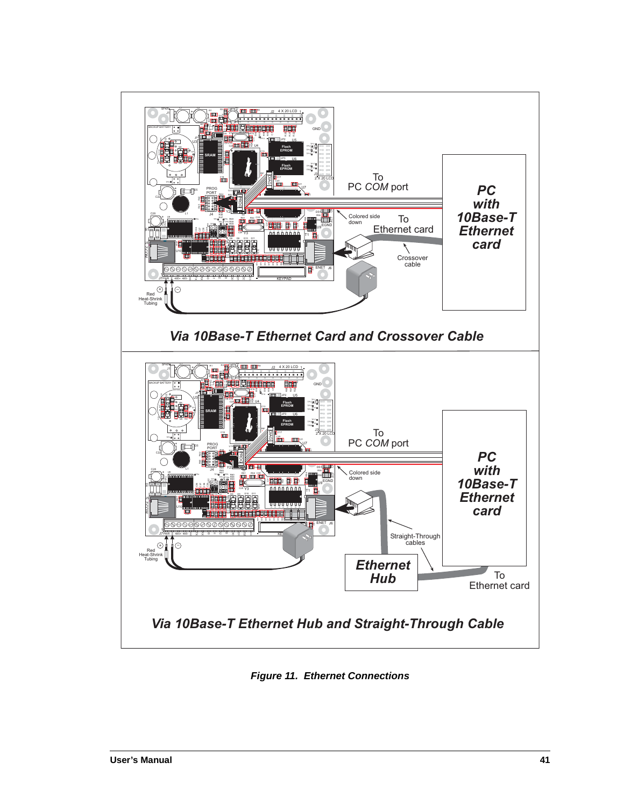

<span id="page-44-2"></span><span id="page-44-1"></span><span id="page-44-0"></span>**Figure 11. Ethernet Connections**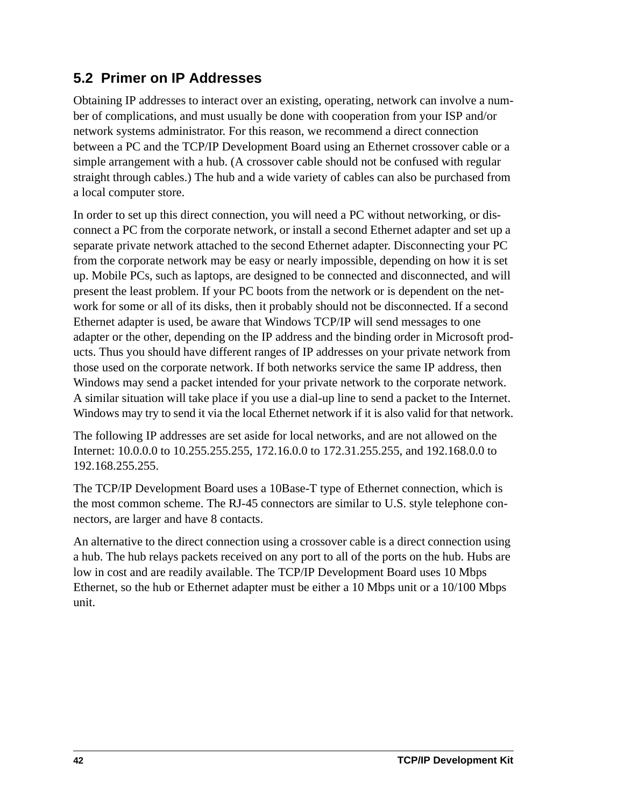# <span id="page-45-4"></span>**5.2 Primer on IP Addresses**

<span id="page-45-0"></span>Obtaining IP addresses to interact over an existing, operating, network can involve a number of complications, and must usually be done with cooperation from your ISP and/or network systems administrator. For this reason, we recommend a direct connection between a PC and the TCP/IP Development Board using an Ethernet crossover cable or a simple arrangement with a hub. (A crossover cable should not be confused with regular straight through cables.) The hub and a wide variety of cables can also be purchased from a local computer store.

<span id="page-45-1"></span>In order to set up this direct connection, you will need a PC without networking, or disconnect a PC from the corporate network, or install a second Ethernet adapter and set up a separate private network attached to the second Ethernet adapter. Disconnecting your PC from the corporate network may be easy or nearly impossible, depending on how it is set up. Mobile PCs, such as laptops, are designed to be connected and disconnected, and will present the least problem. If your PC boots from the network or is dependent on the network for some or all of its disks, then it probably should not be disconnected. If a second Ethernet adapter is used, be aware that Windows TCP/IP will send messages to one adapter or the other, depending on the IP address and the binding order in Microsoft products. Thus you should have different ranges of IP addresses on your private network from those used on the corporate network. If both networks service the same IP address, then Windows may send a packet intended for your private network to the corporate network. A similar situation will take place if you use a dial-up line to send a packet to the Internet. Windows may try to send it via the local Ethernet network if it is also valid for that network.

The following IP addresses are set aside for local networks, and are not allowed on the Internet: 10.0.0.0 to 10.255.255.255, 172.16.0.0 to 172.31.255.255, and 192.168.0.0 to 192.168.255.255.

<span id="page-45-3"></span><span id="page-45-2"></span>The TCP/IP Development Board uses a 10Base-T type of Ethernet connection, which is the most common scheme. The RJ-45 connectors are similar to U.S. style telephone connectors, are larger and have 8 contacts.

An alternative to the direct connection using a crossover cable is a direct connection using a hub. The hub relays packets received on any port to all of the ports on the hub. Hubs are low in cost and are readily available. The TCP/IP Development Board uses 10 Mbps Ethernet, so the hub or Ethernet adapter must be either a 10 Mbps unit or a 10/100 Mbps unit.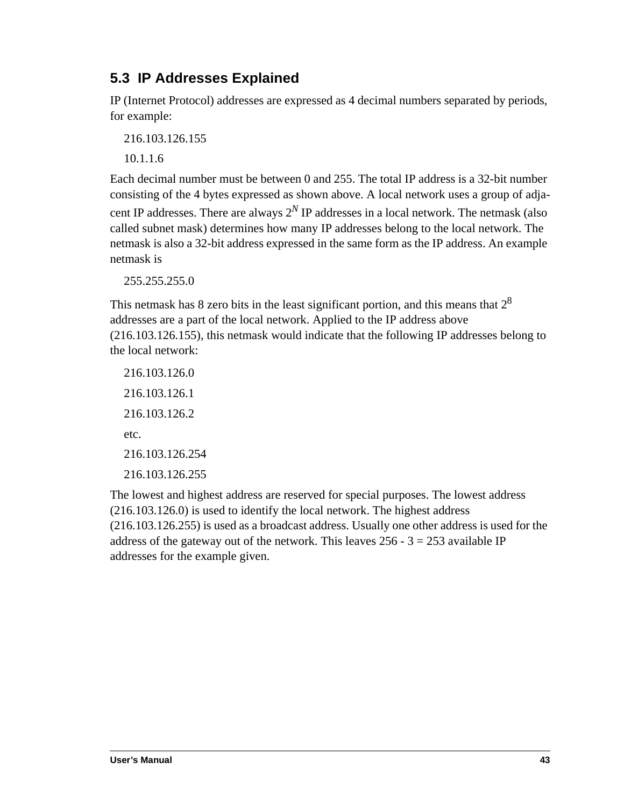# <span id="page-46-0"></span>**5.3 IP Addresses Explained**

IP (Internet Protocol) addresses are expressed as 4 decimal numbers separated by periods, for example:

216.103.126.155

10.1.1.6

Each decimal number must be between 0 and 255. The total IP address is a 32-bit number consisting of the 4 bytes expressed as shown above. A local network uses a group of adjacent IP addresses. There are always  $2<sup>N</sup>$  IP addresses in a local network. The netmask (also called subnet mask) determines how many IP addresses belong to the local network. The netmask is also a 32-bit address expressed in the same form as the IP address. An example netmask is

255.255.255.0

This netmask has 8 zero bits in the least significant portion, and this means that  $2^8$ addresses are a part of the local network. Applied to the IP address above (216.103.126.155), this netmask would indicate that the following IP addresses belong to the local network:

216.103.126.0 216.103.126.1 216.103.126.2 etc. 216.103.126.254 216.103.126.255

The lowest and highest address are reserved for special purposes. The lowest address (216.103.126.0) is used to identify the local network. The highest address (216.103.126.255) is used as a broadcast address. Usually one other address is used for the address of the gateway out of the network. This leaves  $256 - 3 = 253$  available IP addresses for the example given.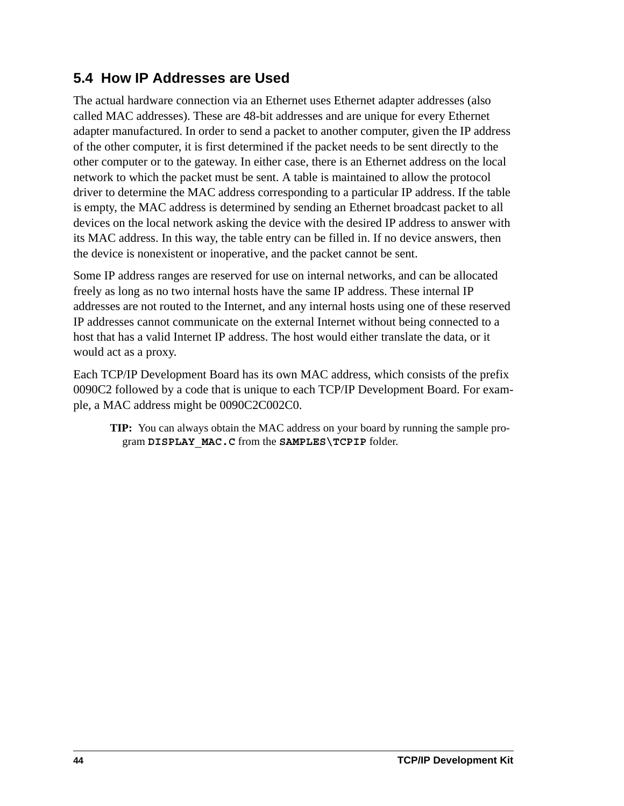# **5.4 How IP Addresses are Used**

<span id="page-47-0"></span>The actual hardware connection via an Ethernet uses Ethernet adapter addresses (also called MAC addresses). These are 48-bit addresses and are unique for every Ethernet adapter manufactured. In order to send a packet to another computer, given the IP address of the other computer, it is first determined if the packet needs to be sent directly to the other computer or to the gateway. In either case, there is an Ethernet address on the local network to which the packet must be sent. A table is maintained to allow the protocol driver to determine the MAC address corresponding to a particular IP address. If the table is empty, the MAC address is determined by sending an Ethernet broadcast packet to all devices on the local network asking the device with the desired IP address to answer with its MAC address. In this way, the table entry can be filled in. If no device answers, then the device is nonexistent or inoperative, and the packet cannot be sent.

Some IP address ranges are reserved for use on internal networks, and can be allocated freely as long as no two internal hosts have the same IP address. These internal IP addresses are not routed to the Internet, and any internal hosts using one of these reserved IP addresses cannot communicate on the external Internet without being connected to a host that has a valid Internet IP address. The host would either translate the data, or it would act as a proxy.

Each TCP/IP Development Board has its own MAC address, which consists of the prefix 0090C2 followed by a code that is unique to each TCP/IP Development Board. For example, a MAC address might be 0090C2C002C0.

<span id="page-47-1"></span>**TIP:** You can always obtain the MAC address on your board by running the sample program **DISPLAY\_MAC.C** from the **SAMPLES\TCPIP** folder.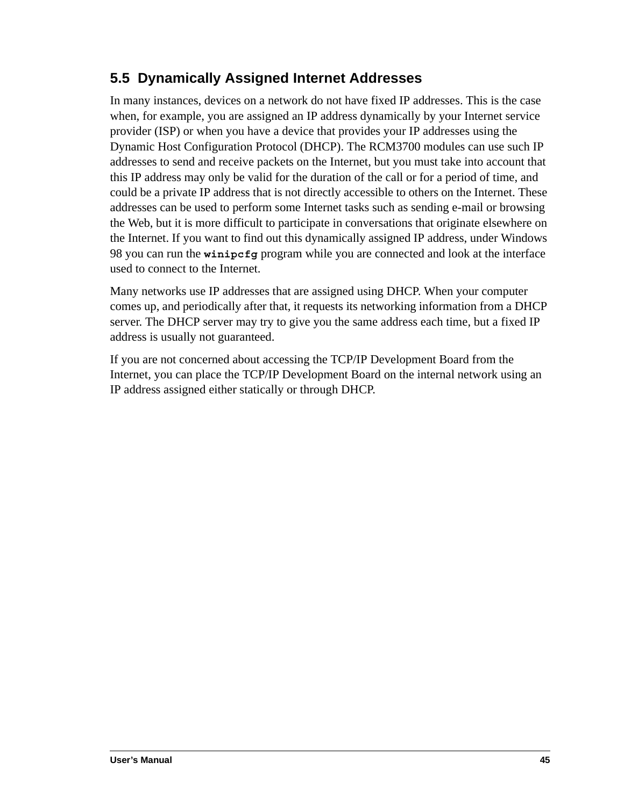# **5.5 Dynamically Assigned Internet Addresses**

In many instances, devices on a network do not have fixed IP addresses. This is the case when, for example, you are assigned an IP address dynamically by your Internet service provider (ISP) or when you have a device that provides your IP addresses using the Dynamic Host Configuration Protocol (DHCP). The RCM3700 modules can use such IP addresses to send and receive packets on the Internet, but you must take into account that this IP address may only be valid for the duration of the call or for a period of time, and could be a private IP address that is not directly accessible to others on the Internet. These addresses can be used to perform some Internet tasks such as sending e-mail or browsing the Web, but it is more difficult to participate in conversations that originate elsewhere on the Internet. If you want to find out this dynamically assigned IP address, under Windows 98 you can run the **winipcfg** program while you are connected and look at the interface used to connect to the Internet.

Many networks use IP addresses that are assigned using DHCP. When your computer comes up, and periodically after that, it requests its networking information from a DHCP server. The DHCP server may try to give you the same address each time, but a fixed IP address is usually not guaranteed.

If you are not concerned about accessing the TCP/IP Development Board from the Internet, you can place the TCP/IP Development Board on the internal network using an IP address assigned either statically or through DHCP.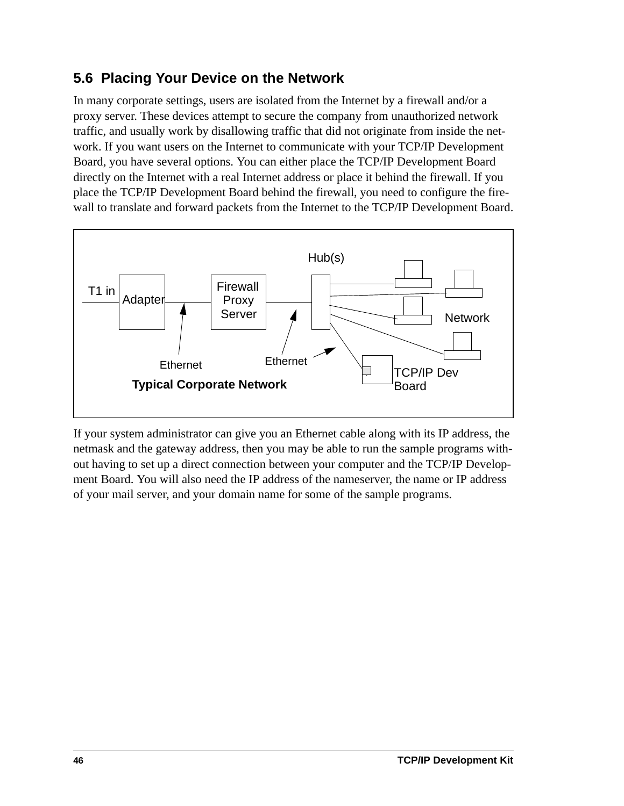# **5.6 Placing Your Device on the Network**

In many corporate settings, users are isolated from the Internet by a firewall and/or a proxy server. These devices attempt to secure the company from unauthorized network traffic, and usually work by disallowing traffic that did not originate from inside the network. If you want users on the Internet to communicate with your TCP/IP Development Board, you have several options. You can either place the TCP/IP Development Board directly on the Internet with a real Internet address or place it behind the firewall. If you place the TCP/IP Development Board behind the firewall, you need to configure the firewall to translate and forward packets from the Internet to the TCP/IP Development Board.



If your system administrator can give you an Ethernet cable along with its IP address, the netmask and the gateway address, then you may be able to run the sample programs without having to set up a direct connection between your computer and the TCP/IP Development Board. You will also need the IP address of the nameserver, the name or IP address of your mail server, and your domain name for some of the sample programs.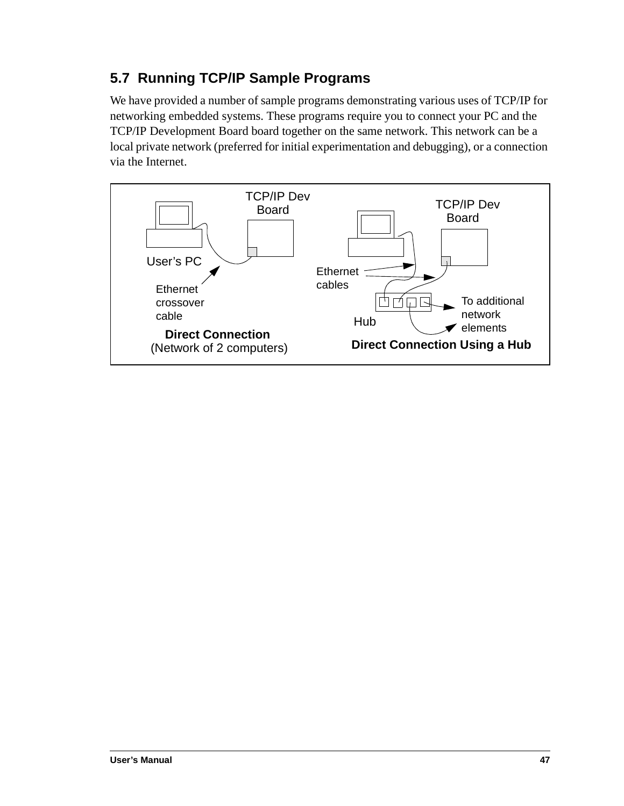# <span id="page-50-0"></span>**5.7 Running TCP/IP Sample Programs**

We have provided a number of sample programs demonstrating various uses of TCP/IP for networking embedded systems. These programs require you to connect your PC and the TCP/IP Development Board board together on the same network. This network can be a local private network (preferred for initial experimentation and debugging), or a connection via the Internet.

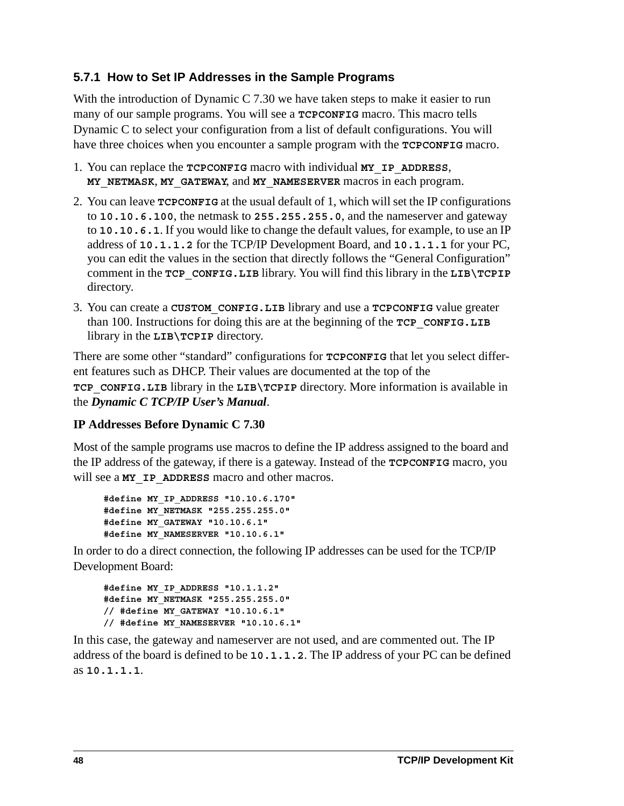## <span id="page-51-0"></span>**5.7.1 How to Set IP Addresses in the Sample Programs**

With the introduction of Dynamic C 7.30 we have taken steps to make it easier to run many of our sample programs. You will see a **TCPCONFIG** macro. This macro tells Dynamic C to select your configuration from a list of default configurations. You will have three choices when you encounter a sample program with the **TCPCONFIG** macro.

- 1. You can replace the **TCPCONFIG** macro with individual **MY\_IP\_ADDRESS**, **MY\_NETMASK**, **MY\_GATEWAY**, and **MY\_NAMESERVER** macros in each program.
- 2. You can leave **TCPCONFIG** at the usual default of 1, which will set the IP configurations to **10.10.6.100**, the netmask to **255.255.255.0**, and the nameserver and gateway to **10.10.6.1**. If you would like to change the default values, for example, to use an IP address of **10.1.1.2** for the TCP/IP Development Board, and **10.1.1.1** for your PC, you can edit the values in the section that directly follows the "General Configuration" comment in the **TCP\_CONFIG.LIB** library. You will find this library in the **LIB\TCPIP** directory.
- 3. You can create a **CUSTOM\_CONFIG.LIB** library and use a **TCPCONFIG** value greater than 100. Instructions for doing this are at the beginning of the **TCP\_CONFIG.LIB** library in the **LIB\TCPIP** directory.

There are some other "standard" configurations for **TCPCONFIG** that let you select different features such as DHCP. Their values are documented at the top of the **TCP** CONFIG. LIB library in the LIB\TCPIP directory. More information is available in the *Dynamic C TCP/IP User's Manual*.

## **IP Addresses Before Dynamic C 7.30**

Most of the sample programs use macros to define the IP address assigned to the board and the IP address of the gateway, if there is a gateway. Instead of the **TCPCONFIG** macro, you will see a **MY\_IP\_ADDRESS** macro and other macros.

```
#define MY_IP_ADDRESS "10.10.6.170"
#define MY_NETMASK "255.255.255.0"
#define MY_GATEWAY "10.10.6.1"
#define MY_NAMESERVER "10.10.6.1"
```
In order to do a direct connection, the following IP addresses can be used for the TCP/IP Development Board:

```
#define MY_IP_ADDRESS "10.1.1.2"
#define MY_NETMASK "255.255.255.0"
// #define MY_GATEWAY "10.10.6.1"
// #define MY_NAMESERVER "10.10.6.1"
```
In this case, the gateway and nameserver are not used, and are commented out. The IP address of the board is defined to be **10.1.1.2**. The IP address of your PC can be defined as **10.1.1.1**.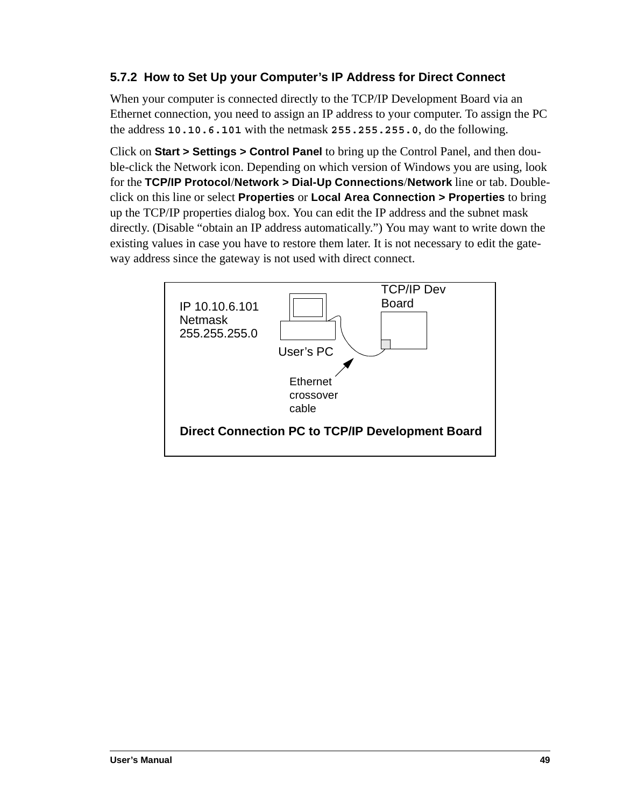## <span id="page-52-0"></span>**5.7.2 How to Set Up your Computer's IP Address for Direct Connect**

When your computer is connected directly to the TCP/IP Development Board via an Ethernet connection, you need to assign an IP address to your computer. To assign the PC the address **10.10.6.101** with the netmask **255.255.255.0**, do the following.

Click on **Start > Settings > Control Panel** to bring up the Control Panel, and then double-click the Network icon. Depending on which version of Windows you are using, look for the **TCP/IP Protocol**/**Network > Dial-Up Connections**/**Network** line or tab. Doubleclick on this line or select **Properties** or **Local Area Connection > Properties** to bring up the TCP/IP properties dialog box. You can edit the IP address and the subnet mask directly. (Disable "obtain an IP address automatically.") You may want to write down the existing values in case you have to restore them later. It is not necessary to edit the gateway address since the gateway is not used with direct connect.

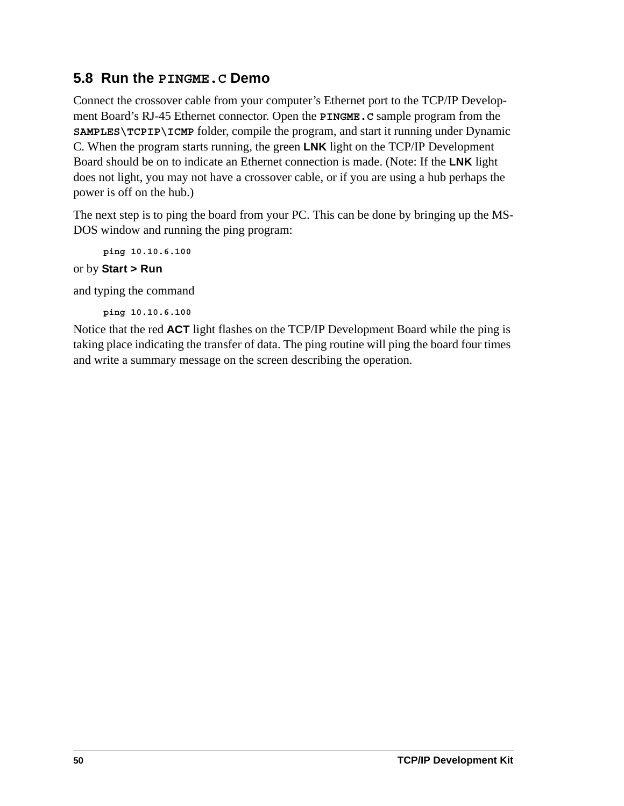# <span id="page-53-0"></span>**5.8 Run the PINGME.C Demo**

Connect the crossover cable from your computer's Ethernet port to the TCP/IP Development Board's RJ-45 Ethernet connector. Open the **PINGME.C** sample program from the **SAMPLES\TCPIP\ICMP** folder, compile the program, and start it running under Dynamic C. When the program starts running, the green **LNK** light on the TCP/IP Development Board should be on to indicate an Ethernet connection is made. (Note: If the **LNK** light does not light, you may not have a crossover cable, or if you are using a hub perhaps the power is off on the hub.)

The next step is to ping the board from your PC. This can be done by bringing up the MS-DOS window and running the ping program:

**ping 10.10.6.100**

or by **Start > Run**

and typing the command

**ping 10.10.6.100**

Notice that the red **ACT** light flashes on the TCP/IP Development Board while the ping is taking place indicating the transfer of data. The ping routine will ping the board four times and write a summary message on the screen describing the operation.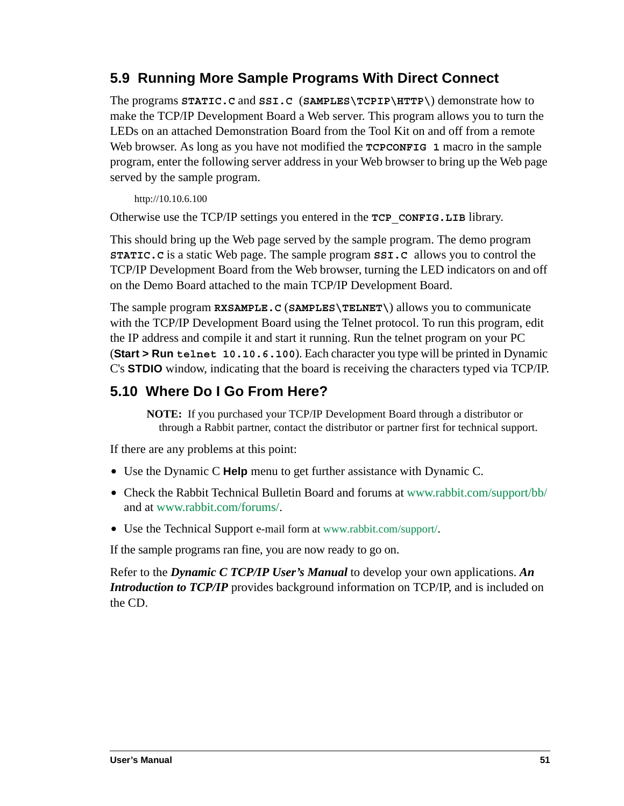# **5.9 Running More Sample Programs With Direct Connect**

<span id="page-54-0"></span>The programs **STATIC.C** and **SSI.C** (**SAMPLES\TCPIP\HTTP\**) demonstrate how to make the TCP/IP Development Board a Web server. This program allows you to turn the LEDs on an attached Demonstration Board from the Tool Kit on and off from a remote Web browser. As long as you have not modified the **TCPCONFIG** 1 macro in the sample program, enter the following server address in your Web browser to bring up the Web page served by the sample program.

http://10.10.6.100

Otherwise use the TCP/IP settings you entered in the **TCP\_CONFIG.LIB** library.

This should bring up the Web page served by the sample program. The demo program **STATIC.C** is a static Web page. The sample program **SSI.C** allows you to control the TCP/IP Development Board from the Web browser, turning the LED indicators on and off on the Demo Board attached to the main TCP/IP Development Board.

The sample program **RXSAMPLE.C** (**SAMPLES\TELNET\**) allows you to communicate with the TCP/IP Development Board using the Telnet protocol. To run this program, edit the IP address and compile it and start it running. Run the telnet program on your PC (**Start > Run telnet 10.10.6.100**). Each character you type will be printed in Dynamic C's **STDIO** window, indicating that the board is receiving the characters typed via TCP/IP.

## **5.10 Where Do I Go From Here?**

<span id="page-54-1"></span>**NOTE:** If you purchased your TCP/IP Development Board through a distributor or through a Rabbit partner, contact the distributor or partner first for technical support.

If there are any problems at this point:

- **•** Use the Dynamic C **Help** menu to get further assistance with Dynamic C.
- Check the Rabbit Technical Bulletin Board and forums at [www.rabbit.com/support/bb/](http://www.rabbit.com/support/bb/index.html) and at [www.rabbit.com/forums/](http://www.rabbitsemiconductor.com/forums/).
- **•** Use the Technical Support e-mail form at [www.rabbit.com/support/](http://www.rabbit.com/support/questionSubmit.shtml).

If the sample programs ran fine, you are now ready to go on.

Refer to the *Dynamic C TCP/IP User's Manual* to develop your own applications. *An Introduction to TCP/IP* provides background information on TCP/IP, and is included on the CD.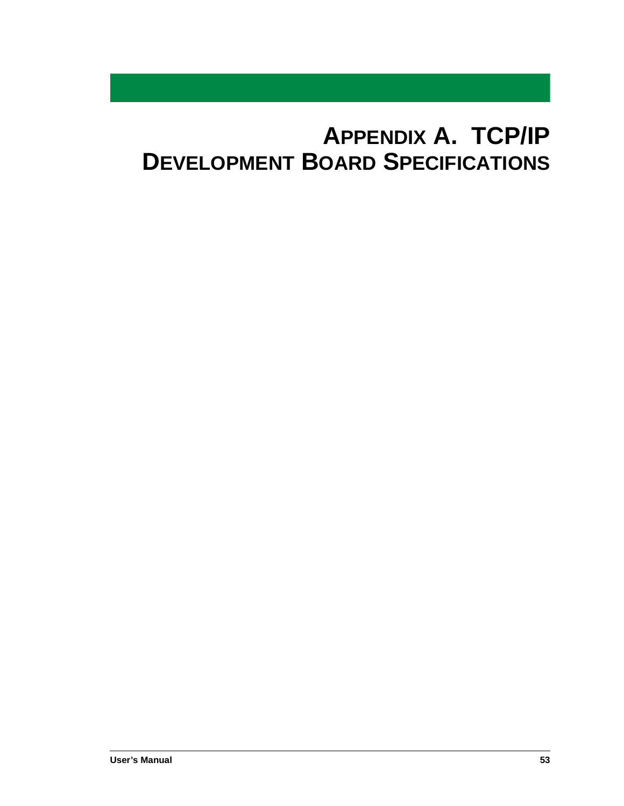# <span id="page-56-0"></span>**APPENDIX A. TCP/IP DEVELOPMENT BOARD SPECIFICATIONS**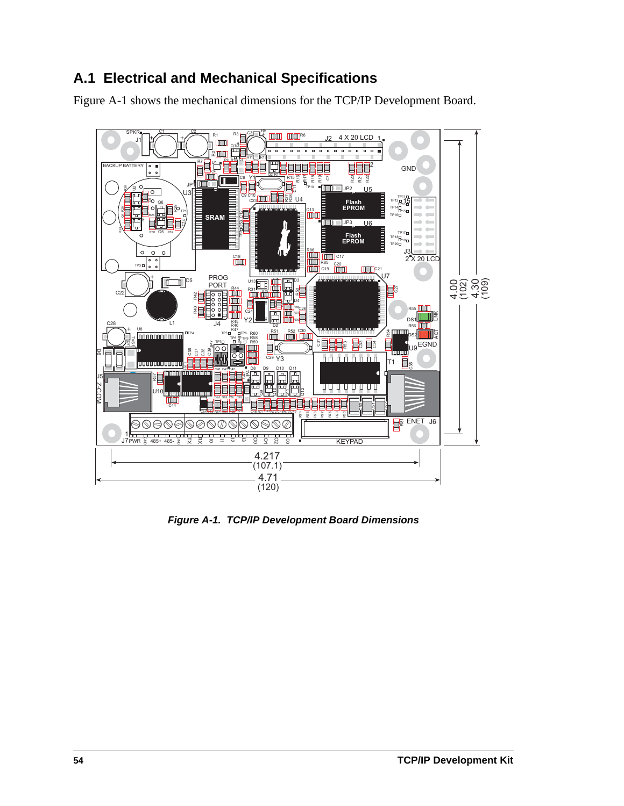# **A.1 Electrical and Mechanical Specifications**

<span id="page-57-2"></span>[Figure A-1](#page-57-0) shows the mechanical dimensions for the TCP/IP Development Board.

<span id="page-57-1"></span>

<span id="page-57-0"></span>*Figure A-1. TCP/IP Development Board Dimensions*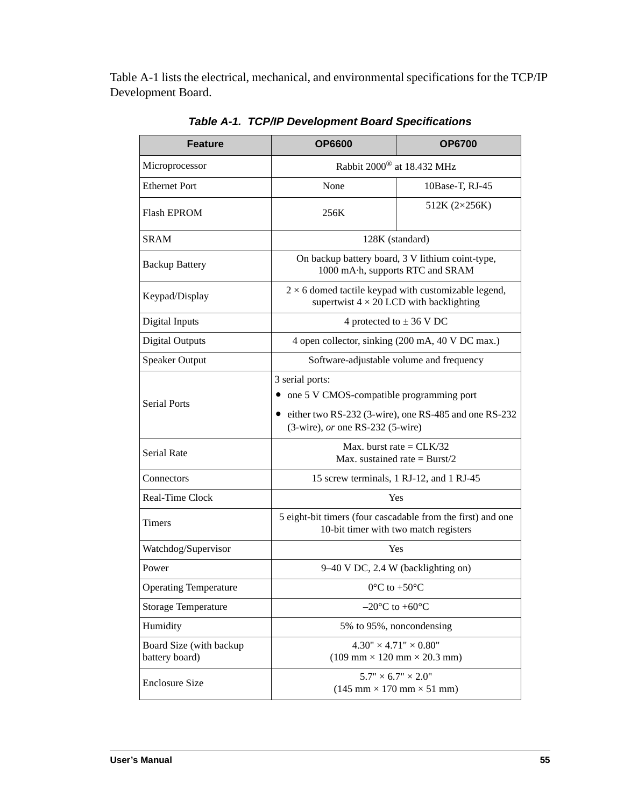[Table A-1](#page-58-0) lists the electrical, mechanical, and environmental specifications for the TCP/IP Development Board.

<span id="page-58-0"></span>

| <b>Feature</b>                            | <b>OP6600</b>                                                                                                                                                        | <b>OP6700</b> |  |
|-------------------------------------------|----------------------------------------------------------------------------------------------------------------------------------------------------------------------|---------------|--|
| Microprocessor                            | Rabbit 2000 <sup>®</sup> at 18.432 MHz                                                                                                                               |               |  |
| <b>Ethernet Port</b>                      | None<br>10Base-T, RJ-45                                                                                                                                              |               |  |
| <b>Flash EPROM</b>                        | 512K (2×256K)<br>256K                                                                                                                                                |               |  |
| <b>SRAM</b>                               | 128K (standard)                                                                                                                                                      |               |  |
| <b>Backup Battery</b>                     | On backup battery board, 3 V lithium coint-type,<br>1000 mA·h, supports RTC and SRAM                                                                                 |               |  |
| Keypad/Display                            | $2 \times 6$ domed tactile keypad with customizable legend,<br>supertwist $4 \times 20$ LCD with backlighting                                                        |               |  |
| Digital Inputs                            | 4 protected to $\pm$ 36 V DC                                                                                                                                         |               |  |
| <b>Digital Outputs</b>                    | 4 open collector, sinking (200 mA, 40 V DC max.)                                                                                                                     |               |  |
| <b>Speaker Output</b>                     | Software-adjustable volume and frequency                                                                                                                             |               |  |
| <b>Serial Ports</b>                       | 3 serial ports:<br>one 5 V CMOS-compatible programming port<br>• either two RS-232 (3-wire), one RS-485 and one RS-232<br>$(3\text{-wire})$ , or one RS-232 (5-wire) |               |  |
| Serial Rate                               | Max. burst rate = $CLK/32$<br>Max. sustained rate = $Burst/2$                                                                                                        |               |  |
| Connectors                                | 15 screw terminals, 1 RJ-12, and 1 RJ-45                                                                                                                             |               |  |
| Real-Time Clock                           | Yes                                                                                                                                                                  |               |  |
| <b>Timers</b>                             | 5 eight-bit timers (four cascadable from the first) and one<br>10-bit timer with two match registers                                                                 |               |  |
| Watchdog/Supervisor                       | Yes                                                                                                                                                                  |               |  |
| Power                                     | 9–40 V DC, 2.4 W (backlighting on)                                                                                                                                   |               |  |
| <b>Operating Temperature</b>              | $0^{\circ}$ C to +50 $^{\circ}$ C                                                                                                                                    |               |  |
| <b>Storage Temperature</b>                | $-20^{\circ}$ C to $+60^{\circ}$ C                                                                                                                                   |               |  |
| Humidity                                  | 5% to 95%, noncondensing                                                                                                                                             |               |  |
| Board Size (with backup<br>battery board) | $4.30'' \times 4.71'' \times 0.80''$<br>$(109 \text{ mm} \times 120 \text{ mm} \times 20.3 \text{ mm})$                                                              |               |  |
| <b>Enclosure Size</b>                     | $5.7" \times 6.7" \times 2.0"$<br>$(145 \text{ mm} \times 170 \text{ mm} \times 51 \text{ mm})$                                                                      |               |  |

<span id="page-58-1"></span>*Table A-1. TCP/IP Development Board Specifications*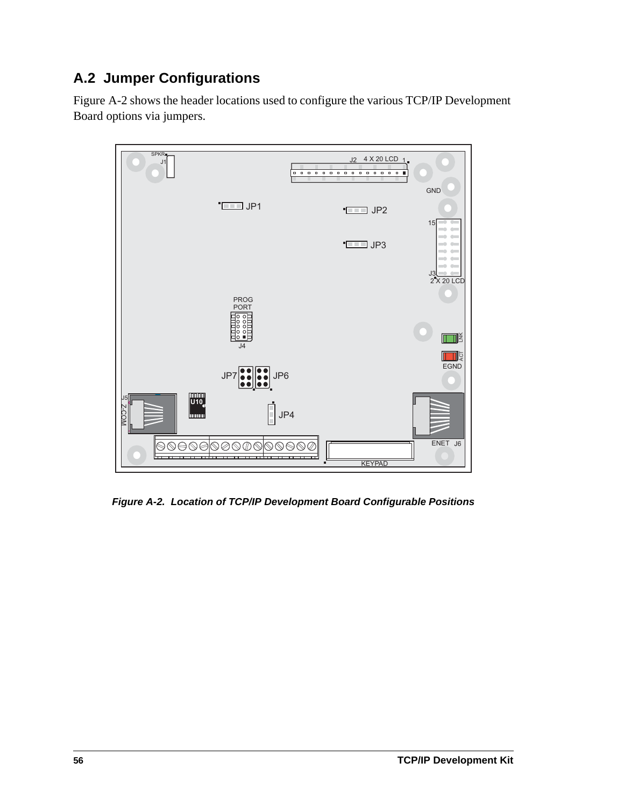# <span id="page-59-1"></span>**A.2 Jumper Configurations**

[Figure A-2](#page-59-0) shows the header locations used to configure the various TCP/IP Development Board options via jumpers.



<span id="page-59-2"></span><span id="page-59-0"></span>*Figure A-2. Location of TCP/IP Development Board Configurable Positions*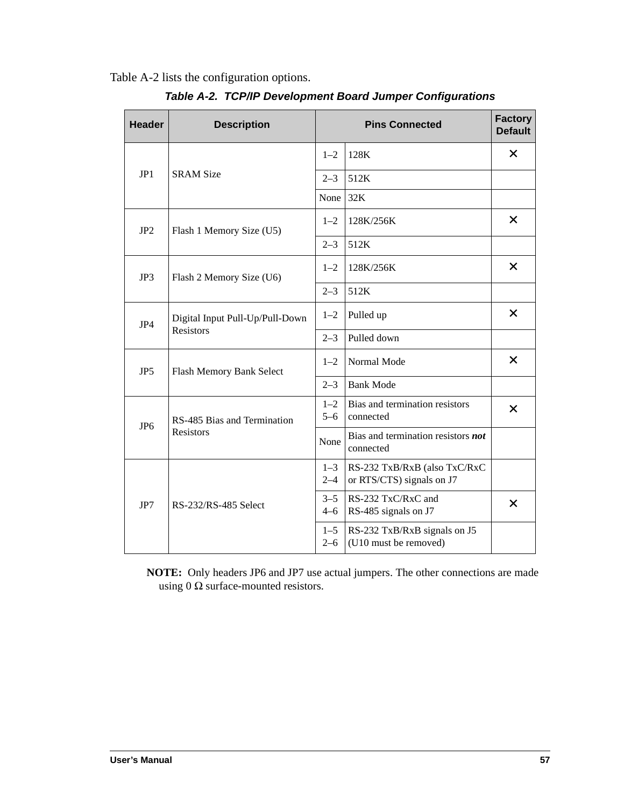<span id="page-60-1"></span><span id="page-60-0"></span>[Table A-2](#page-60-0) lists the configuration options.

<span id="page-60-5"></span><span id="page-60-4"></span><span id="page-60-3"></span><span id="page-60-2"></span>

| <b>Header</b>   | <b>Description</b>              |                    | <b>Pins Connected</b>                                     |          |
|-----------------|---------------------------------|--------------------|-----------------------------------------------------------|----------|
|                 |                                 | $1 - 2$            | 128K                                                      | $\times$ |
| JP1             | <b>SRAM Size</b>                | $2 - 3$            | 512K                                                      |          |
|                 |                                 | None               | 32K                                                       |          |
| JP2             | Flash 1 Memory Size (U5)        |                    | 128K/256K                                                 | $\times$ |
|                 |                                 | $2 - 3$            | 512K                                                      |          |
| JP3             | Flash 2 Memory Size (U6)        | $1 - 2$            | 128K/256K                                                 | X        |
|                 |                                 | $2 - 3$            | 512K                                                      |          |
| JP4             | Digital Input Pull-Up/Pull-Down | $1 - 2$            | Pulled up                                                 | $\times$ |
|                 | <b>Resistors</b>                | $2 - 3$            | Pulled down                                               |          |
| JP <sub>5</sub> | Flash Memory Bank Select        | $1 - 2$            | Normal Mode                                               | $\times$ |
|                 |                                 |                    | <b>Bank Mode</b>                                          |          |
| JP <sub>6</sub> | RS-485 Bias and Termination     | $1 - 2$<br>$5 - 6$ | Bias and termination resistors<br>connected               | $\times$ |
|                 | <b>Resistors</b>                | None               | Bias and termination resistors not<br>connected           |          |
|                 |                                 | $1 - 3$<br>$2 - 4$ | RS-232 TxB/RxB (also TxC/RxC<br>or RTS/CTS) signals on J7 |          |
| JP7             | RS-232/RS-485 Select            | $3 - 5$<br>$4 - 6$ | RS-232 TxC/RxC and<br>RS-485 signals on J7                | X        |
|                 |                                 | $1 - 5$<br>$2 - 6$ | RS-232 TxB/RxB signals on J5<br>(U10 must be removed)     |          |

*Table A-2. TCP/IP Development Board Jumper Configurations*

<span id="page-60-8"></span><span id="page-60-7"></span><span id="page-60-6"></span>**NOTE:** Only headers JP6 and JP7 use actual jumpers. The other connections are made using  $0 \Omega$  surface-mounted resistors.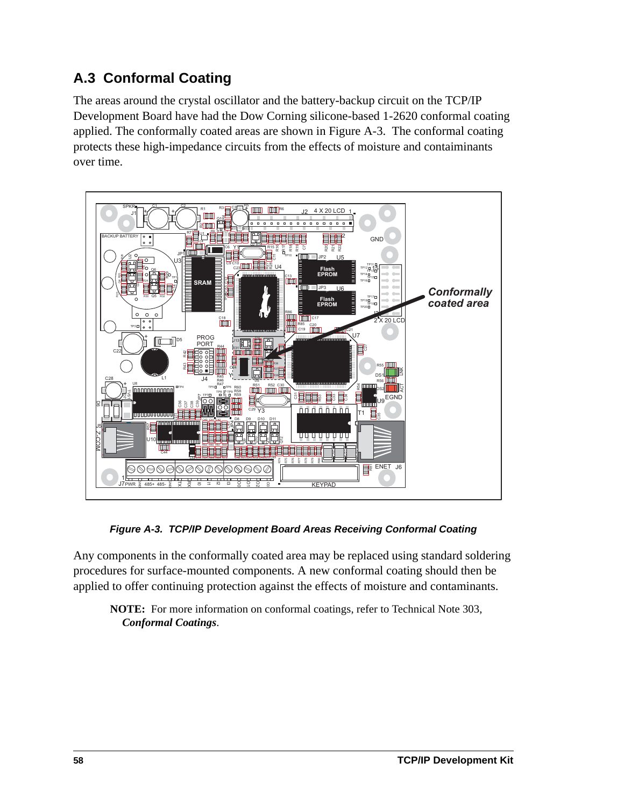# **A.3 Conformal Coating**

The areas around the crystal oscillator and the battery-backup circuit on the TCP/IP Development Board have had the Dow Corning silicone-based 1-2620 conformal coating applied. The conformally coated areas are shown in [Figure A-3.](#page-61-0) The conformal coating protects these high-impedance circuits from the effects of moisture and contaiminants over time.



*Figure A-3. TCP/IP Development Board Areas Receiving Conformal Coating*

<span id="page-61-0"></span>Any components in the conformally coated area may be replaced using standard soldering procedures for surface-mounted components. A new conformal coating should then be applied to offer continuing protection against the effects of moisture and contaminants.

**NOTE:** For more information on conformal coatings, refer to Technical Note 303, *Conformal Coatings*.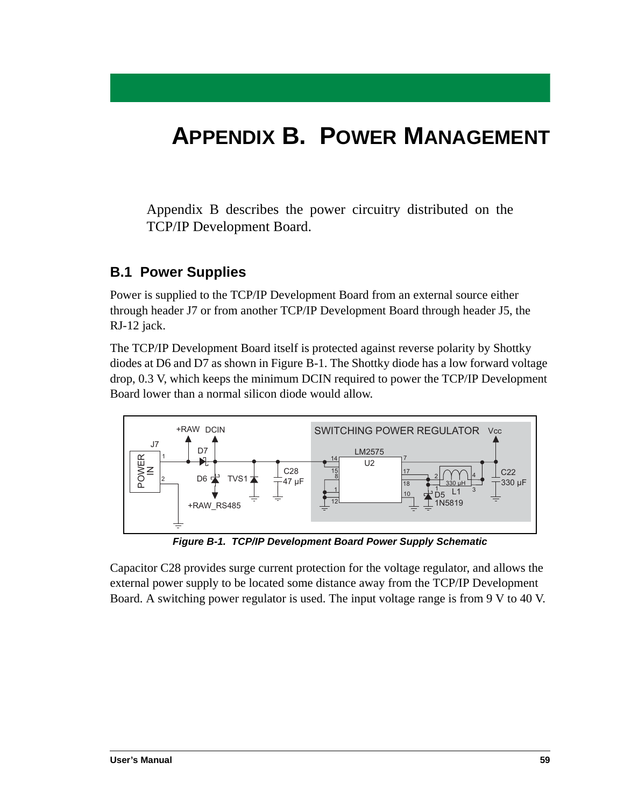# <span id="page-62-1"></span>**APPENDIX B. POWER MANAGEMENT**

Appendix B describes the power circuitry distributed on the TCP/IP Development Board.

## <span id="page-62-2"></span>**B.1 Power Supplies**

Power is supplied to the TCP/IP Development Board from an external source either through header J7 or from another TCP/IP Development Board through header J5, the RJ-12 jack.

The TCP/IP Development Board itself is protected against reverse polarity by Shottky diodes at D6 and D7 as shown in [Figure B-1](#page-62-0). The Shottky diode has a low forward voltage drop, 0.3 V, which keeps the minimum DCIN required to power the TCP/IP Development Board lower than a normal silicon diode would allow.



*Figure B-1. TCP/IP Development Board Power Supply Schematic*

<span id="page-62-0"></span>Capacitor C28 provides surge current protection for the voltage regulator, and allows the external power supply to be located some distance away from the TCP/IP Development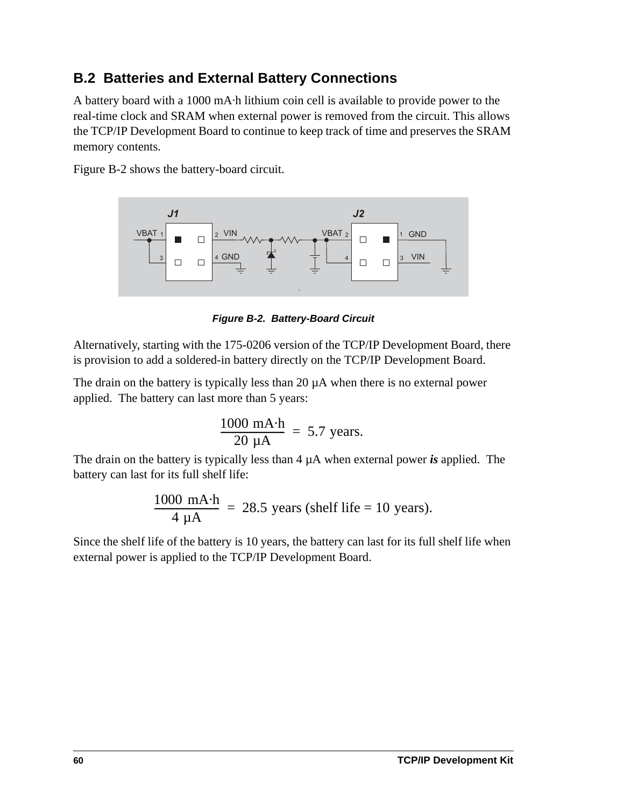# <span id="page-63-1"></span>**B.2 Batteries and External Battery Connections**

A battery board with a 1000 mA·h lithium coin cell is available to provide power to the real-time clock and SRAM when external power is removed from the circuit. This allows the TCP/IP Development Board to continue to keep track of time and preserves the SRAM memory contents.

[Figure B-2](#page-63-0) shows the battery-board circuit.



*Figure B-2. Battery-Board Circuit*

<span id="page-63-0"></span>Alternatively, starting with the 175-0206 version of the TCP/IP Development Board, there is provision to add a soldered-in battery directly on the TCP/IP Development Board.

The drain on the battery is typically less than  $20 \mu A$  when there is no external power applied. The battery can last more than 5 years:

$$
\frac{1000 \text{ mA} \cdot \text{h}}{20 \text{ }\mu\text{A}} = 5.7 \text{ years}.
$$

The drain on the battery is typically less than 4 µA when external power *is* applied. The battery can last for its full shelf life:

<span id="page-63-2"></span>
$$
\frac{1000 \text{ mA} \cdot \text{h}}{4 \text{ }\mu\text{A}} = 28.5 \text{ years (shell life} = 10 \text{ years}).
$$

Since the shelf life of the battery is 10 years, the battery can last for its full shelf life when external power is applied to the TCP/IP Development Board.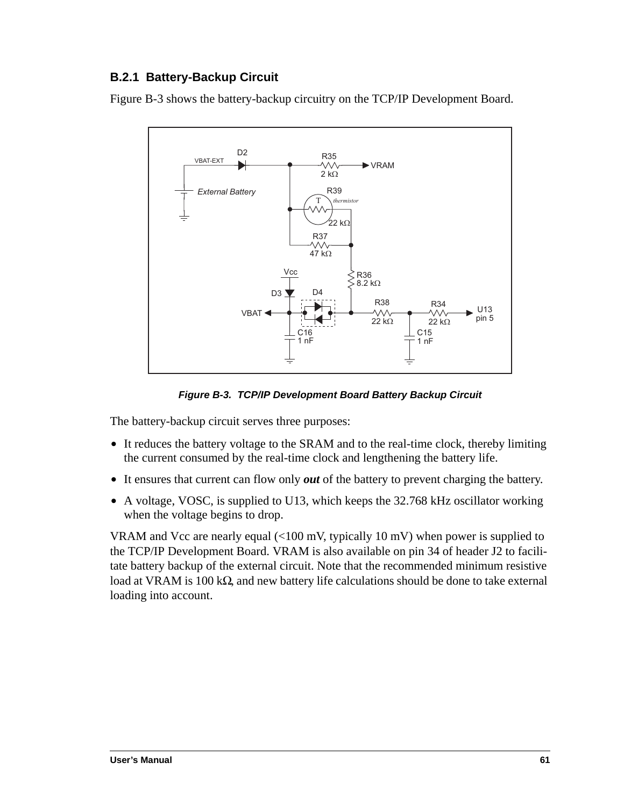## <span id="page-64-1"></span>**B.2.1 Battery-Backup Circuit**

[Figure B-3](#page-64-0) shows the battery-backup circuitry on the TCP/IP Development Board.



*Figure B-3. TCP/IP Development Board Battery Backup Circuit*

<span id="page-64-0"></span>The battery-backup circuit serves three purposes:

- It reduces the battery voltage to the SRAM and to the real-time clock, thereby limiting the current consumed by the real-time clock and lengthening the battery life.
- **•** It ensures that current can flow only *out* of the battery to prevent charging the battery.
- A voltage, VOSC, is supplied to U13, which keeps the 32.768 kHz oscillator working when the voltage begins to drop.

VRAM and Vcc are nearly equal (<100 mV, typically 10 mV) when power is supplied to the TCP/IP Development Board. VRAM is also available on pin 34 of header J2 to facilitate battery backup of the external circuit. Note that the recommended minimum resistive load at VRAM is 100 kΩ, and new battery life calculations should be done to take external loading into account.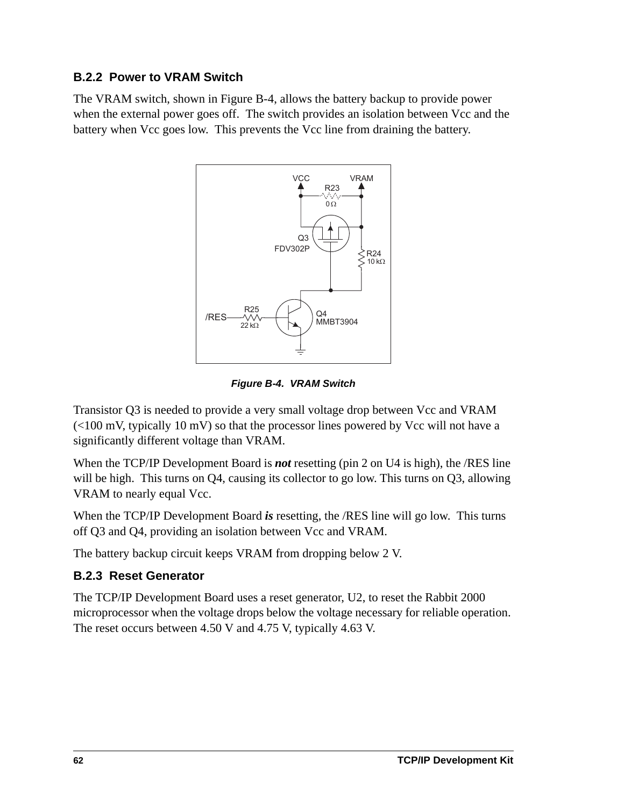## <span id="page-65-1"></span>**B.2.2 Power to VRAM Switch**

The VRAM switch, shown in [Figure B-4,](#page-65-0) allows the battery backup to provide power when the external power goes off. The switch provides an isolation between Vcc and the battery when Vcc goes low. This prevents the Vcc line from draining the battery.



*Figure B-4. VRAM Switch*

<span id="page-65-0"></span>Transistor Q3 is needed to provide a very small voltage drop between Vcc and VRAM  $\left($  <100 mV, typically 10 mV) so that the processor lines powered by Vcc will not have a significantly different voltage than VRAM.

When the TCP/IP Development Board is *not* resetting (pin 2 on U4 is high), the /RES line will be high. This turns on Q4, causing its collector to go low. This turns on Q3, allowing VRAM to nearly equal Vcc.

When the TCP/IP Development Board *is* resetting, the /RES line will go low. This turns off Q3 and Q4, providing an isolation between Vcc and VRAM.

The battery backup circuit keeps VRAM from dropping below 2 V.

## <span id="page-65-2"></span>**B.2.3 Reset Generator**

The TCP/IP Development Board uses a reset generator, U2, to reset the Rabbit 2000 microprocessor when the voltage drops below the voltage necessary for reliable operation. The reset occurs between 4.50 V and 4.75 V, typically 4.63 V.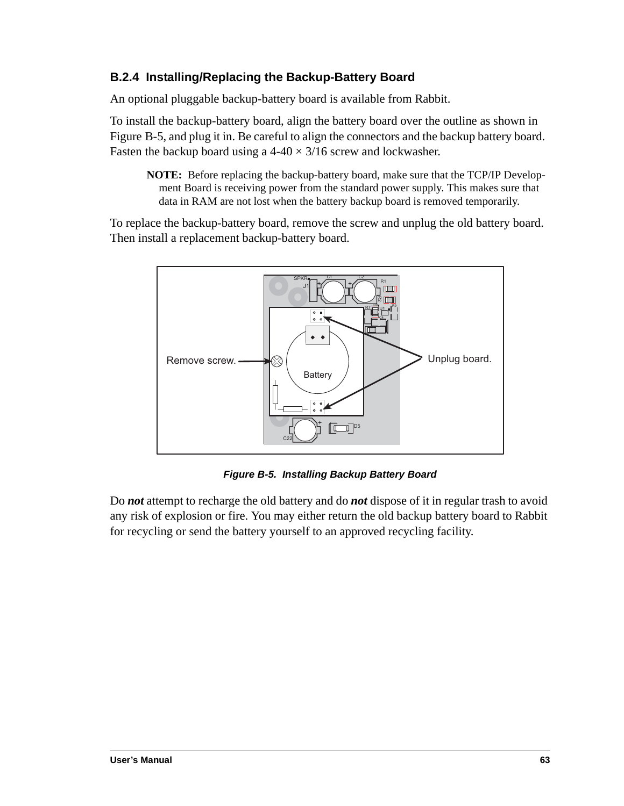## <span id="page-66-1"></span>**B.2.4 Installing/Replacing the Backup-Battery Board**

An optional pluggable backup-battery board is available from Rabbit.

To install the backup-battery board, align the battery board over the outline as shown in [Figure B-5](#page-66-0), and plug it in. Be careful to align the connectors and the backup battery board. Fasten the backup board using a  $4-40 \times 3/16$  screw and lockwasher.

**NOTE:** Before replacing the backup-battery board, make sure that the TCP/IP Development Board is receiving power from the standard power supply. This makes sure that data in RAM are not lost when the battery backup board is removed temporarily.

To replace the backup-battery board, remove the screw and unplug the old battery board. Then install a replacement backup-battery board.



*Figure B-5. Installing Backup Battery Board*

<span id="page-66-0"></span>Do *not* attempt to recharge the old battery and do *not* dispose of it in regular trash to avoid any risk of explosion or fire. You may either return the old backup battery board to Rabbit for recycling or send the battery yourself to an approved recycling facility.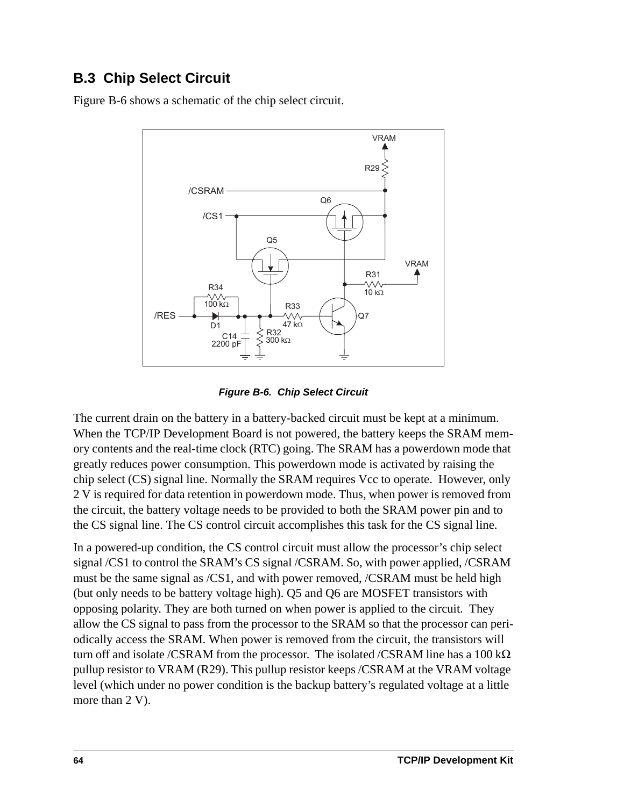# <span id="page-67-1"></span>**B.3 Chip Select Circuit**

[Figure B-6](#page-67-0) shows a schematic of the chip select circuit.



*Figure B-6. Chip Select Circuit*

<span id="page-67-0"></span>The current drain on the battery in a battery-backed circuit must be kept at a minimum. When the TCP/IP Development Board is not powered, the battery keeps the SRAM memory contents and the real-time clock (RTC) going. The SRAM has a powerdown mode that greatly reduces power consumption. This powerdown mode is activated by raising the chip select (CS) signal line. Normally the SRAM requires Vcc to operate. However, only 2 V is required for data retention in powerdown mode. Thus, when power is removed from the circuit, the battery voltage needs to be provided to both the SRAM power pin and to the CS signal line. The CS control circuit accomplishes this task for the CS signal line.

In a powered-up condition, the CS control circuit must allow the processor's chip select signal /CS1 to control the SRAM's CS signal /CSRAM. So, with power applied, /CSRAM must be the same signal as /CS1, and with power removed, /CSRAM must be held high (but only needs to be battery voltage high). Q5 and Q6 are MOSFET transistors with opposing polarity. They are both turned on when power is applied to the circuit. They allow the CS signal to pass from the processor to the SRAM so that the processor can periodically access the SRAM. When power is removed from the circuit, the transistors will turn off and isolate /CSRAM from the processor. The isolated /CSRAM line has a 100 kΩ pullup resistor to VRAM (R29). This pullup resistor keeps /CSRAM at the VRAM voltage level (which under no power condition is the backup battery's regulated voltage at a little more than 2 V).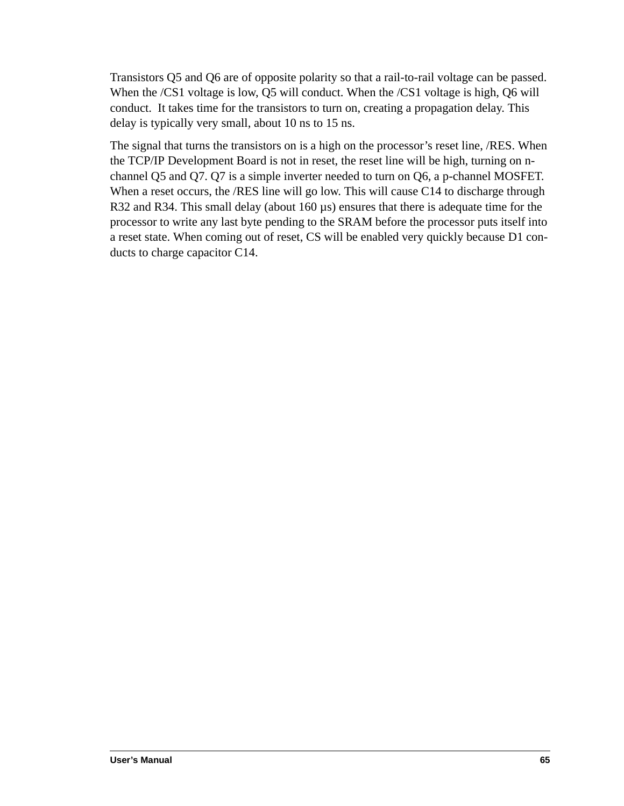Transistors Q5 and Q6 are of opposite polarity so that a rail-to-rail voltage can be passed. When the /CS1 voltage is low, Q5 will conduct. When the /CS1 voltage is high, Q6 will conduct. It takes time for the transistors to turn on, creating a propagation delay. This delay is typically very small, about 10 ns to 15 ns.

The signal that turns the transistors on is a high on the processor's reset line, /RES. When the TCP/IP Development Board is not in reset, the reset line will be high, turning on nchannel Q5 and Q7. Q7 is a simple inverter needed to turn on Q6, a p-channel MOSFET. When a reset occurs, the /RES line will go low. This will cause C14 to discharge through R32 and R34. This small delay (about  $160 \,\mu s$ ) ensures that there is adequate time for the processor to write any last byte pending to the SRAM before the processor puts itself into a reset state. When coming out of reset, CS will be enabled very quickly because D1 conducts to charge capacitor C14.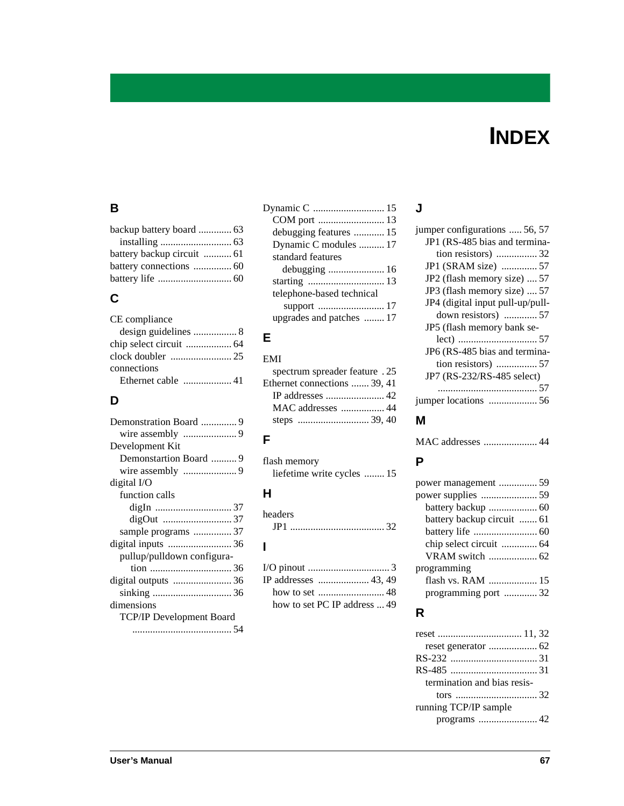# **INDEX**

## **B**

| backup battery board  63   |  |
|----------------------------|--|
|                            |  |
| battery backup circuit  61 |  |
| battery connections  60    |  |
|                            |  |
|                            |  |

# **C**

| CE compliance |
|---------------|
|               |
|               |
|               |
| connections   |
|               |

# **D**

| Development Kit                 |
|---------------------------------|
| Demonstartion Board  9          |
|                                 |
| digital I/O                     |
| function calls                  |
|                                 |
|                                 |
| sample programs 37              |
|                                 |
| pullup/pulldown configura-      |
|                                 |
|                                 |
|                                 |
| dimensions                      |
| <b>TCP/IP Development Board</b> |
|                                 |

| debugging features  15    |  |
|---------------------------|--|
| Dynamic C modules  17     |  |
| standard features         |  |
| debugging  16             |  |
|                           |  |
| telephone-based technical |  |
|                           |  |
| upgrades and patches  17  |  |
|                           |  |

# **E** EMI

| spectrum spreader feature . 25 |
|--------------------------------|
| Ethernet connections  39, 41   |
|                                |
| MAC addresses  44              |
|                                |
|                                |

## **F**

| flash memory               |  |
|----------------------------|--|
| liefetime write cycles  15 |  |

# **H**

| headers |  |  |  |
|---------|--|--|--|
| JP1     |  |  |  |

# **I**

| how to set PC IP address  49 |  |
|------------------------------|--|

## **J**

| jumper configurations  56, 57    |
|----------------------------------|
| JP1 (RS-485 bias and termina-    |
| tion resistors)  32              |
| JP1 (SRAM size)  57              |
| JP2 (flash memory size)  57      |
| JP3 (flash memory size)  57      |
| JP4 (digital input pull-up/pull- |
| down resistors)  57              |
| JP5 (flash memory bank se-       |
|                                  |
| JP6 (RS-485 bias and termina-    |
|                                  |
| JP7 (RS-232/RS-485 select)       |
|                                  |
|                                  |
|                                  |

# **M**

|--|--|

## **P**

| power management  59       |  |
|----------------------------|--|
|                            |  |
|                            |  |
| battery backup circuit  61 |  |
|                            |  |
| chip select circuit  64    |  |
|                            |  |
| programming                |  |
|                            |  |
| programming port  32       |  |
|                            |  |

## **R**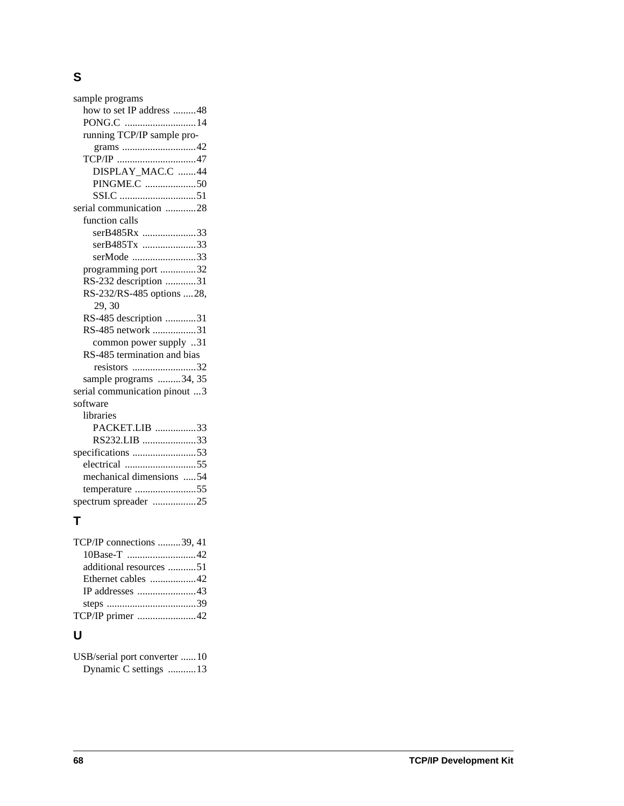### **S**

sample programs [how to set IP address .........48](#page-51-0) [PONG.C ............................14](#page-17-0) [running TCP/IP sample pro](#page-45-1)grams .............................42 [TCP/IP ...............................47](#page-50-0) [DISPLAY\\_MAC.C .......44](#page-47-1) [PINGME.C ....................50](#page-53-0) [SSI.C ..............................51](#page-54-0) [serial communication ............28](#page-31-0) function calls [serB485Rx .....................33](#page-36-0) [serB485Tx .....................33](#page-36-1) [serMode .........................33](#page-36-2) [programming port ..............32](#page-35-2) [RS-232 description ............31](#page-34-2) [RS-232/RS-485 options ....28,](#page-31-1)  [29,](#page-32-0) [30](#page-33-0) [RS-485 description ............31](#page-34-1) [RS-485 network .................31](#page-34-3) [common power supply ..31](#page-34-3) [RS-485 termination and bias](#page-35-4)  resistors .........................32 [sample programs .........34,](#page-37-1) [35](#page-38-1) [serial communication pinout ...3](#page-6-0) software libraries [PACKET.LIB ................33](#page-36-3) [RS232.LIB .....................33](#page-36-4) [specifications .........................53](#page-56-0) [electrical ............................55](#page-58-1) [mechanical dimensions .....54](#page-57-2) [temperature ........................55](#page-58-1) [spectrum spreader .................25](#page-28-2)

## **T**

| TCP/IP connections 39, 41 |  |
|---------------------------|--|
|                           |  |
| additional resources 51   |  |
| Ethernet cables 42        |  |
|                           |  |
|                           |  |
| TCP/IP primer 42          |  |
|                           |  |

## **U**

[USB/serial port converter ......10](#page-13-1) [Dynamic C settings ...........13](#page-16-2)